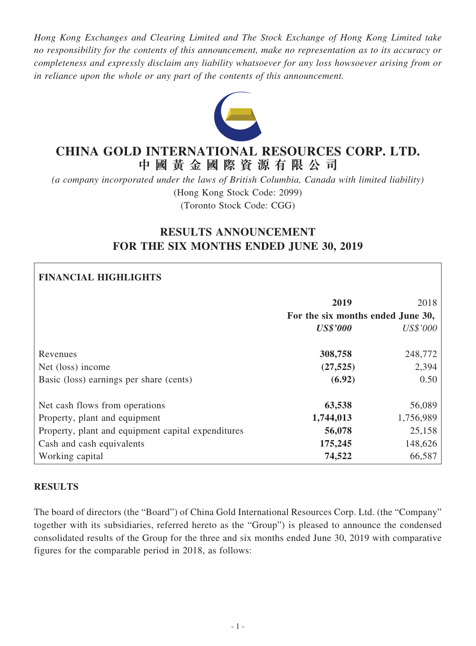*Hong Kong Exchanges and Clearing Limited and The Stock Exchange of Hong Kong Limited take no responsibility for the contents of this announcement, make no representation as to its accuracy or completeness and expressly disclaim any liability whatsoever for any loss howsoever arising from or in reliance upon the whole or any part of the contents of this announcement.*



# **CHINA GOLD INTERNATIONAL RESOURCES CORP. LTD. 中 國 黃 金 國 際 資 源 有 限 公 司**

*(a company incorporated under the laws of British Columbia, Canada with limited liability)* (Hong Kong Stock Code: 2099) (Toronto Stock Code: CGG)

# **RESULTS ANNOUNCEMENT FOR THE SIX MONTHS ENDED JUNE 30, 2019**

### **FINANCIAL HIGHLIGHTS**

|                                                    | 2019                              | 2018      |
|----------------------------------------------------|-----------------------------------|-----------|
|                                                    | For the six months ended June 30, |           |
|                                                    | <b>US\$'000</b>                   | US\$'000  |
| Revenues                                           | 308,758                           | 248,772   |
| Net (loss) income                                  | (27, 525)                         | 2,394     |
| Basic (loss) earnings per share (cents)            | (6.92)                            | 0.50      |
| Net cash flows from operations                     | 63,538                            | 56,089    |
| Property, plant and equipment                      | 1,744,013                         | 1,756,989 |
| Property, plant and equipment capital expenditures | 56,078                            | 25,158    |
| Cash and cash equivalents                          | 175,245                           | 148,626   |
| Working capital                                    | 74,522                            | 66,587    |

### **RESULTS**

The board of directors (the "Board") of China Gold International Resources Corp. Ltd. (the "Company" together with its subsidiaries, referred hereto as the "Group") is pleased to announce the condensed consolidated results of the Group for the three and six months ended June 30, 2019 with comparative figures for the comparable period in 2018, as follows: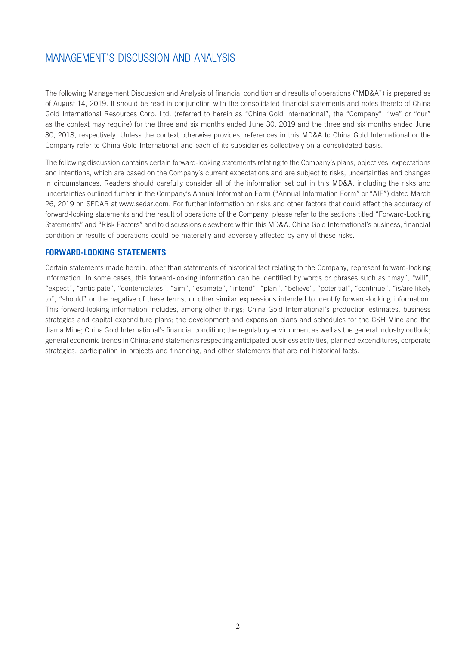The following Management Discussion and Analysis of financial condition and results of operations ("MD&A") is prepared as of August 14, 2019. It should be read in conjunction with the consolidated financial statements and notes thereto of China Gold International Resources Corp. Ltd. (referred to herein as "China Gold International", the "Company", "we" or "our" as the context may require) for the three and six months ended June 30, 2019 and the three and six months ended June 30, 2018, respectively. Unless the context otherwise provides, references in this MD&A to China Gold International or the Company refer to China Gold International and each of its subsidiaries collectively on a consolidated basis.

The following discussion contains certain forward-looking statements relating to the Company's plans, objectives, expectations and intentions, which are based on the Company's current expectations and are subject to risks, uncertainties and changes in circumstances. Readers should carefully consider all of the information set out in this MD&A, including the risks and uncertainties outlined further in the Company's Annual Information Form ("Annual Information Form" or "AIF") dated March 26, 2019 on SEDAR at www.sedar.com. For further information on risks and other factors that could affect the accuracy of forward-looking statements and the result of operations of the Company, please refer to the sections titled "Forward-Looking Statements" and "Risk Factors" and to discussions elsewhere within this MD&A. China Gold International's business, financial condition or results of operations could be materially and adversely affected by any of these risks.

### **FORWARD-LOOKING STATEMENTS**

Certain statements made herein, other than statements of historical fact relating to the Company, represent forward-looking information. In some cases, this forward-looking information can be identified by words or phrases such as "may", "will", "expect", "anticipate", "contemplates", "aim", "estimate", "intend", "plan", "believe", "potential", "continue", "is/are likely to", "should" or the negative of these terms, or other similar expressions intended to identify forward-looking information. This forward-looking information includes, among other things; China Gold International's production estimates, business strategies and capital expenditure plans; the development and expansion plans and schedules for the CSH Mine and the Jiama Mine; China Gold International's financial condition; the regulatory environment as well as the general industry outlook; general economic trends in China; and statements respecting anticipated business activities, planned expenditures, corporate strategies, participation in projects and financing, and other statements that are not historical facts.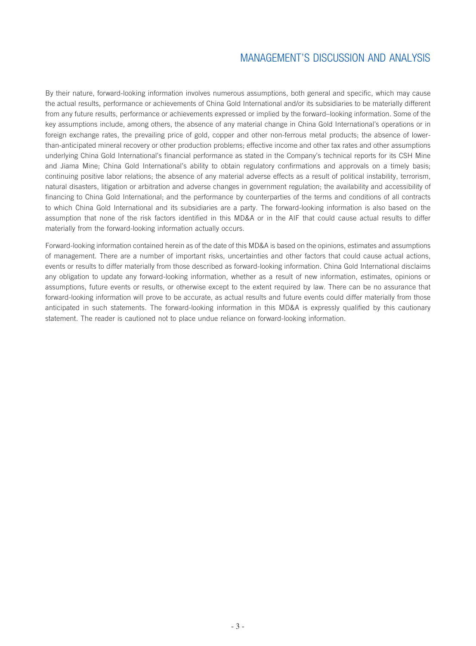By their nature, forward-looking information involves numerous assumptions, both general and specific, which may cause the actual results, performance or achievements of China Gold International and/or its subsidiaries to be materially different from any future results, performance or achievements expressed or implied by the forward–looking information. Some of the key assumptions include, among others, the absence of any material change in China Gold International's operations or in foreign exchange rates, the prevailing price of gold, copper and other non-ferrous metal products; the absence of lowerthan-anticipated mineral recovery or other production problems; effective income and other tax rates and other assumptions underlying China Gold International's financial performance as stated in the Company's technical reports for its CSH Mine and Jiama Mine; China Gold International's ability to obtain regulatory confirmations and approvals on a timely basis; continuing positive labor relations; the absence of any material adverse effects as a result of political instability, terrorism, natural disasters, litigation or arbitration and adverse changes in government regulation; the availability and accessibility of financing to China Gold International; and the performance by counterparties of the terms and conditions of all contracts to which China Gold International and its subsidiaries are a party. The forward-looking information is also based on the assumption that none of the risk factors identified in this MD&A or in the AIF that could cause actual results to differ materially from the forward-looking information actually occurs.

Forward-looking information contained herein as of the date of this MD&A is based on the opinions, estimates and assumptions of management. There are a number of important risks, uncertainties and other factors that could cause actual actions, events or results to differ materially from those described as forward-looking information. China Gold International disclaims any obligation to update any forward-looking information, whether as a result of new information, estimates, opinions or assumptions, future events or results, or otherwise except to the extent required by law. There can be no assurance that forward-looking information will prove to be accurate, as actual results and future events could differ materially from those anticipated in such statements. The forward-looking information in this MD&A is expressly qualified by this cautionary statement. The reader is cautioned not to place undue reliance on forward-looking information.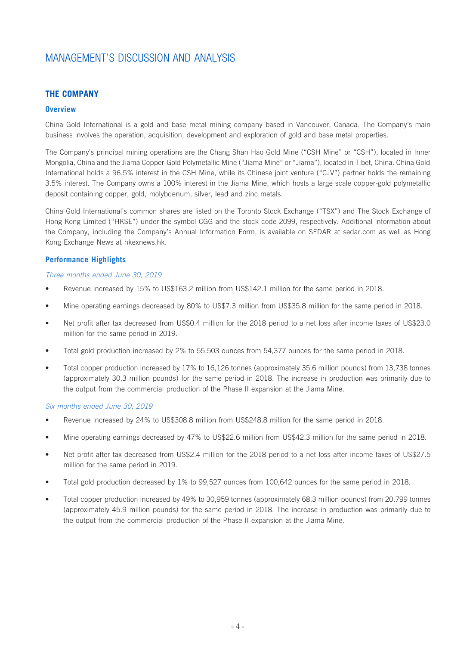### **THE COMPANY**

### **Overview**

China Gold International is a gold and base metal mining company based in Vancouver, Canada. The Company's main business involves the operation, acquisition, development and exploration of gold and base metal properties.

The Company's principal mining operations are the Chang Shan Hao Gold Mine ("CSH Mine" or "CSH"), located in Inner Mongolia, China and the Jiama Copper-Gold Polymetallic Mine ("Jiama Mine" or "Jiama"), located in Tibet, China. China Gold International holds a 96.5% interest in the CSH Mine, while its Chinese joint venture ("CJV") partner holds the remaining 3.5% interest. The Company owns a 100% interest in the Jiama Mine, which hosts a large scale copper-gold polymetallic deposit containing copper, gold, molybdenum, silver, lead and zinc metals.

China Gold International's common shares are listed on the Toronto Stock Exchange ("TSX") and The Stock Exchange of Hong Kong Limited ("HKSE") under the symbol CGG and the stock code 2099, respectively. Additional information about the Company, including the Company's Annual Information Form, is available on SEDAR at sedar.com as well as Hong Kong Exchange News at hkexnews.hk.

### **Performance Highlights**

#### *Three months ended June 30, 2019*

- Revenue increased by 15% to US\$163.2 million from US\$142.1 million for the same period in 2018.
- Mine operating earnings decreased by 80% to US\$7.3 million from US\$35.8 million for the same period in 2018.
- Net profit after tax decreased from US\$0.4 million for the 2018 period to a net loss after income taxes of US\$23.0 million for the same period in 2019.
- Total gold production increased by 2% to 55,503 ounces from 54,377 ounces for the same period in 2018.
- Total copper production increased by 17% to 16,126 tonnes (approximately 35.6 million pounds) from 13,738 tonnes (approximately 30.3 million pounds) for the same period in 2018. The increase in production was primarily due to the output from the commercial production of the Phase II expansion at the Jiama Mine.

#### *Six months ended June 30, 2019*

- Revenue increased by 24% to US\$308.8 million from US\$248.8 million for the same period in 2018.
- Mine operating earnings decreased by 47% to US\$22.6 million from US\$42.3 million for the same period in 2018.
- Net profit after tax decreased from US\$2.4 million for the 2018 period to a net loss after income taxes of US\$27.5 million for the same period in 2019.
- Total gold production decreased by 1% to 99,527 ounces from 100,642 ounces for the same period in 2018.
- Total copper production increased by 49% to 30,959 tonnes (approximately 68.3 million pounds) from 20,799 tonnes (approximately 45.9 million pounds) for the same period in 2018. The increase in production was primarily due to the output from the commercial production of the Phase II expansion at the Jiama Mine.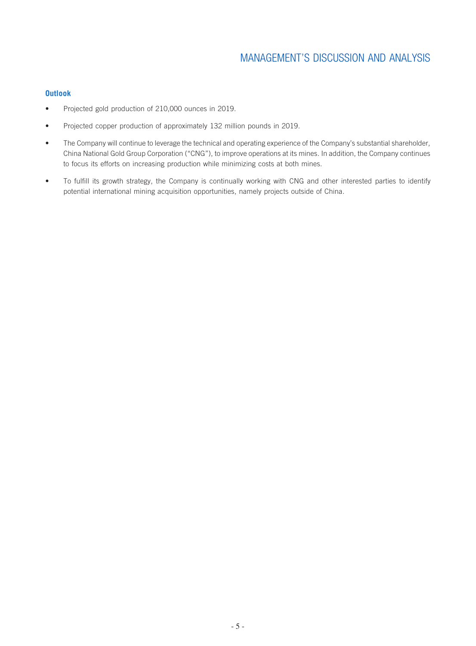### **Outlook**

- Projected gold production of 210,000 ounces in 2019.
- Projected copper production of approximately 132 million pounds in 2019.
- The Company will continue to leverage the technical and operating experience of the Company's substantial shareholder, China National Gold Group Corporation ("CNG"), to improve operations at its mines. In addition, the Company continues to focus its efforts on increasing production while minimizing costs at both mines.
- To fulfill its growth strategy, the Company is continually working with CNG and other interested parties to identify potential international mining acquisition opportunities, namely projects outside of China.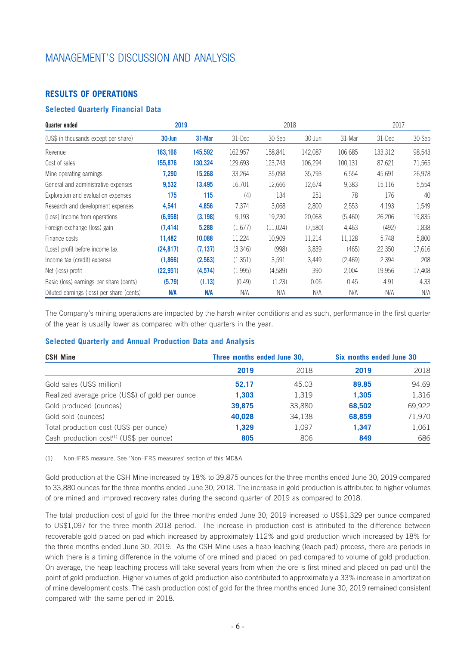### **RESULTS OF OPERATIONS**

### **Selected Quarterly Financial Data**

| Quarter ended                             | 2019      | 2018     |         | 2017     |         |         |         |        |
|-------------------------------------------|-----------|----------|---------|----------|---------|---------|---------|--------|
| (US\$ in thousands except per share)      | 30-Jun    | 31-Mar   | 31-Dec  | 30-Sep   | 30-Jun  | 31-Mar  | 31-Dec  | 30-Sep |
| Revenue                                   | 163,166   | 145,592  | 162,957 | 158,841  | 142,087 | 106,685 | 133,312 | 98,543 |
| Cost of sales                             | 155,876   | 130,324  | 129,693 | 123,743  | 106,294 | 100,131 | 87,621  | 71,565 |
| Mine operating earnings                   | 7,290     | 15,268   | 33,264  | 35,098   | 35,793  | 6,554   | 45,691  | 26,978 |
| General and administrative expenses       | 9,532     | 13,495   | 16,701  | 12,666   | 12,674  | 9,383   | 15,116  | 5,554  |
| Exploration and evaluation expenses       | 175       | 115      | (4)     | 134      | 251     | 78      | 176     | 40     |
| Research and development expenses         | 4,541     | 4,856    | 7,374   | 3,068    | 2,800   | 2,553   | 4,193   | 1,549  |
| (Loss) Income from operations             | (6,958)   | (3, 198) | 9,193   | 19,230   | 20,068  | (5,460) | 26,206  | 19,835 |
| Foreign exchange (loss) gain              | (7, 414)  | 5,288    | (1,677) | (11,024) | (7,580) | 4,463   | (492)   | 1,838  |
| Finance costs                             | 11,482    | 10,088   | 11,224  | 10,909   | 11,214  | 11,128  | 5,748   | 5,800  |
| (Loss) profit before income tax           | (24, 817) | (7, 137) | (3,346) | (998)    | 3,839   | (465)   | 22,350  | 17,616 |
| Income tax (credit) expense               | (1,866)   | (2,563)  | (1,351) | 3,591    | 3,449   | (2,469) | 2,394   | 208    |
| Net (loss) profit                         | (22, 951) | (4,574)  | (1,995) | (4,589)  | 390     | 2,004   | 19,956  | 17,408 |
| Basic (loss) earnings per share (cents)   | (5.79)    | (1.13)   | (0.49)  | (1.23)   | 0.05    | 0.45    | 4.91    | 4.33   |
| Diluted earnings (loss) per share (cents) | N/A       | N/A      | N/A     | N/A      | N/A     | N/A     | N/A     | N/A    |

The Company's mining operations are impacted by the harsh winter conditions and as such, performance in the first quarter of the year is usually lower as compared with other quarters in the year.

### **Selected Quarterly and Annual Production Data and Analysis**

| <b>CSH Mine</b>                                      | Three months ended June 30, |        | Six months ended June 30 |        |
|------------------------------------------------------|-----------------------------|--------|--------------------------|--------|
|                                                      | 2019                        | 2018   | 2019                     | 2018   |
| Gold sales (US\$ million)                            | 52.17                       | 45.03  | 89.85                    | 94.69  |
| Realized average price (US\$) of gold per ounce      | 1.303                       | 1,319  | 1.305                    | 1,316  |
| Gold produced (ounces)                               | 39,875                      | 33,880 | 68,502                   | 69,922 |
| Gold sold (ounces)                                   | 40,028                      | 34,138 | 68,859                   | 71,970 |
| Total production cost (US\$ per ounce)               | 1,329                       | 1,097  | 1.347                    | 1,061  |
| Cash production cost <sup>(1)</sup> (US\$ per ounce) | 805                         | 806    | 849                      | 686    |

(1) Non-IFRS measure. See 'Non-IFRS measures' section of this MD&A

Gold production at the CSH Mine increased by 18% to 39,875 ounces for the three months ended June 30, 2019 compared to 33,880 ounces for the three months ended June 30, 2018. The increase in gold production is attributed to higher volumes of ore mined and improved recovery rates during the second quarter of 2019 as compared to 2018.

The total production cost of gold for the three months ended June 30, 2019 increased to US\$1,329 per ounce compared to US\$1,097 for the three month 2018 period. The increase in production cost is attributed to the difference between recoverable gold placed on pad which increased by approximately 112% and gold production which increased by 18% for the three months ended June 30, 2019. As the CSH Mine uses a heap leaching (leach pad) process, there are periods in which there is a timing difference in the volume of ore mined and placed on pad compared to volume of gold production. On average, the heap leaching process will take several years from when the ore is first mined and placed on pad until the point of gold production. Higher volumes of gold production also contributed to approximately a 33% increase in amortization of mine development costs. The cash production cost of gold for the three months ended June 30, 2019 remained consistent compared with the same period in 2018.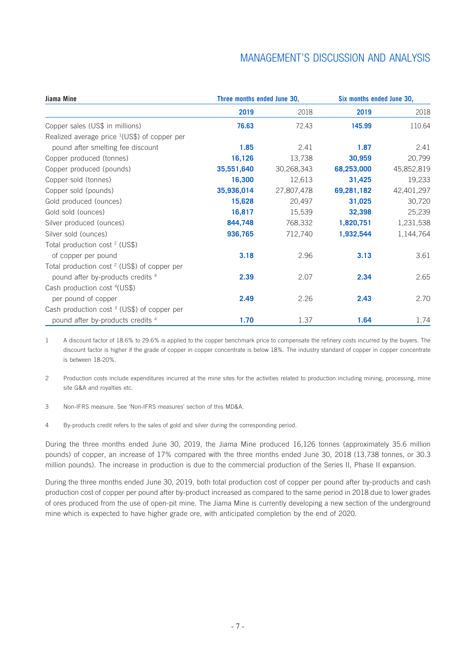| Jiama Mine                                               | Three months ended June 30, |            | Six months ended June 30, |            |  |
|----------------------------------------------------------|-----------------------------|------------|---------------------------|------------|--|
|                                                          | 2019                        | 2018       | 2019                      | 2018       |  |
| Copper sales (US\$ in millions)                          | 76.63                       | 72.43      | 145.99                    | 110.64     |  |
| Realized average price <sup>1</sup> (US\$) of copper per |                             |            |                           |            |  |
| pound after smelting fee discount                        | 1.85                        | 2.41       | 1.87                      | 2.41       |  |
| Copper produced (tonnes)                                 | 16,126                      | 13,738     | 30,959                    | 20,799     |  |
| Copper produced (pounds)                                 | 35,551,640                  | 30,268,343 | 68,253,000                | 45,852,819 |  |
| Copper sold (tonnes)                                     | 16,300                      | 12,613     | 31,425                    | 19,233     |  |
| Copper sold (pounds)                                     | 35,936,014                  | 27,807,478 | 69,281,182                | 42,401,297 |  |
| Gold produced (ounces)                                   | 15,628                      | 20,497     | 31,025                    | 30,720     |  |
| Gold sold (ounces)                                       | 16,817                      | 15,539     | 32,398                    | 25,239     |  |
| Silver produced (ounces)                                 | 844,748                     | 768,332    | 1,820,751                 | 1,231,538  |  |
| Silver sold (ounces)                                     | 936,765                     | 712,740    | 1,932,544                 | 1,144,764  |  |
| Total production cost <sup>2</sup> (US\$)                |                             |            |                           |            |  |
| of copper per pound                                      | 3.18                        | 2.96       | 3.13                      | 3.61       |  |
| Total production cost <sup>2</sup> (US\$) of copper per  |                             |            |                           |            |  |
| pound after by-products credits 4                        | 2.39                        | 2.07       | 2.34                      | 2.65       |  |
| Cash production cost <sup>4</sup> (US\$)                 |                             |            |                           |            |  |
| per pound of copper                                      | 2.49                        | 2.26       | 2.43                      | 2.70       |  |
| Cash production cost <sup>3</sup> (US\$) of copper per   |                             |            |                           |            |  |
| pound after by-products credits <sup>4</sup>             | 1.70                        | 1.37       | 1.64                      | 1.74       |  |

1 A discount factor of 18.6% to 29.6% is applied to the copper benchmark price to compensate the refinery costs incurred by the buyers. The discount factor is higher if the grade of copper in copper concentrate is below 18%. The industry standard of copper in copper concentrate is between 18-20%.

2 Production costs include expenditures incurred at the mine sites for the activities related to production including mining, processing, mine site G&A and royalties etc.

- 3 Non-IFRS measure. See 'Non-IFRS measures' section of this MD&A.
- 4 By-products credit refers to the sales of gold and silver during the corresponding period.

During the three months ended June 30, 2019, the Jiama Mine produced 16,126 tonnes (approximately 35.6 million pounds) of copper, an increase of 17% compared with the three months ended June 30, 2018 (13,738 tonnes, or 30.3 million pounds). The increase in production is due to the commercial production of the Series II, Phase II expansion.

During the three months ended June 30, 2019, both total production cost of copper per pound after by-products and cash production cost of copper per pound after by-product increased as compared to the same period in 2018 due to lower grades of ores produced from the use of open-pit mine. The Jiama Mine is currently developing a new section of the underground mine which is expected to have higher grade ore, with anticipated completion by the end of 2020.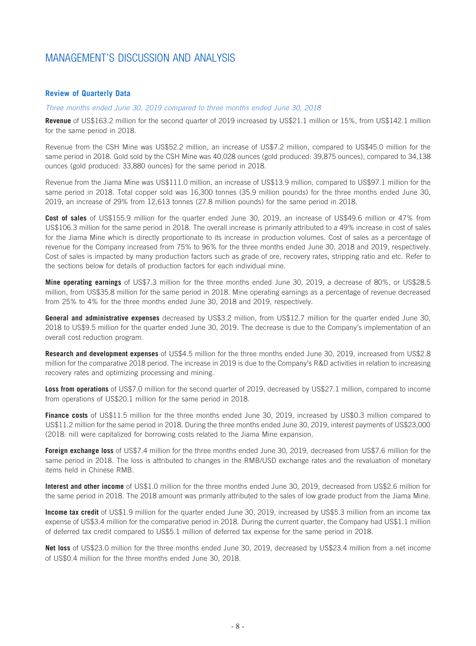### **Review of Quarterly Data**

#### *Three months ended June 30, 2019 compared to three months ended June 30, 2018*

**Revenue** of US\$163.2 million for the second quarter of 2019 increased by US\$21.1 million or 15%, from US\$142.1 million for the same period in 2018.

Revenue from the CSH Mine was US\$52.2 million, an increase of US\$7.2 million, compared to US\$45.0 million for the same period in 2018. Gold sold by the CSH Mine was 40,028 ounces (gold produced: 39,875 ounces), compared to 34,138 ounces (gold produced: 33,880 ounces) for the same period in 2018.

Revenue from the Jiama Mine was US\$111.0 million, an increase of US\$13.9 million, compared to US\$97.1 million for the same period in 2018. Total copper sold was 16,300 tonnes (35.9 million pounds) for the three months ended June 30, 2019, an increase of 29% from 12,613 tonnes (27.8 million pounds) for the same period in 2018.

**Cost of sales** of US\$155.9 million for the quarter ended June 30, 2019, an increase of US\$49.6 million or 47% from US\$106.3 million for the same period in 2018. The overall increase is primarily attributed to a 49% increase in cost of sales for the Jiama Mine which is directly proportionate to its increase in production volumes. Cost of sales as a percentage of revenue for the Company increased from 75% to 96% for the three months ended June 30, 2018 and 2019, respectively. Cost of sales is impacted by many production factors such as grade of ore, recovery rates, stripping ratio and etc. Refer to the sections below for details of production factors for each individual mine.

**Mine operating earnings** of US\$7.3 million for the three months ended June 30, 2019, a decrease of 80%, or US\$28.5 million, from US\$35.8 million for the same period in 2018. Mine operating earnings as a percentage of revenue decreased from 25% to 4% for the three months ended June 30, 2018 and 2019, respectively.

**General and administrative expenses** decreased by US\$3.2 million, from US\$12.7 million for the quarter ended June 30, 2018 to US\$9.5 million for the quarter ended June 30, 2019. The decrease is due to the Company's implementation of an overall cost reduction program.

**Research and development expenses** of US\$4.5 million for the three months ended June 30, 2019, increased from US\$2.8 million for the comparative 2018 period. The increase in 2019 is due to the Company's R&D activities in relation to increasing recovery rates and optimizing processing and mining.

**Loss from operations** of US\$7.0 million for the second quarter of 2019, decreased by US\$27.1 million, compared to income from operations of US\$20.1 million for the same period in 2018.

**Finance costs** of US\$11.5 million for the three months ended June 30, 2019, increased by US\$0.3 million compared to US\$11.2 million for the same period in 2018. During the three months ended June 30, 2019, interest payments of US\$23,000 (2018: nil) were capitalized for borrowing costs related to the Jiama Mine expansion.

**Foreign exchange loss** of US\$7.4 million for the three months ended June 30, 2019, decreased from US\$7.6 million for the same period in 2018. The loss is attributed to changes in the RMB/USD exchange rates and the revaluation of monetary items held in Chinese RMB.

**Interest and other income** of US\$1.0 million for the three months ended June 30, 2019, decreased from US\$2.6 million for the same period in 2018. The 2018 amount was primarily attributed to the sales of low grade product from the Jiama Mine.

**Income tax credit** of US\$1.9 million for the quarter ended June 30, 2019, increased by US\$5.3 million from an income tax expense of US\$3.4 million for the comparative period in 2018. During the current quarter, the Company had US\$1.1 million of deferred tax credit compared to US\$5.1 million of deferred tax expense for the same period in 2018.

**Net loss** of US\$23.0 million for the three months ended June 30, 2019, decreased by US\$23.4 million from a net income of US\$0.4 million for the three months ended June 30, 2018.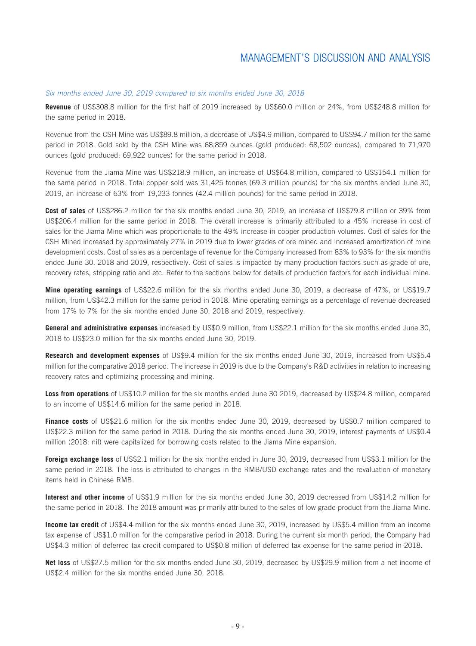#### *Six months ended June 30, 2019 compared to six months ended June 30, 2018*

**Revenue** of US\$308.8 million for the first half of 2019 increased by US\$60.0 million or 24%, from US\$248.8 million for the same period in 2018.

Revenue from the CSH Mine was US\$89.8 million, a decrease of US\$4.9 million, compared to US\$94.7 million for the same period in 2018. Gold sold by the CSH Mine was 68,859 ounces (gold produced: 68,502 ounces), compared to 71,970 ounces (gold produced: 69,922 ounces) for the same period in 2018.

Revenue from the Jiama Mine was US\$218.9 million, an increase of US\$64.8 million, compared to US\$154.1 million for the same period in 2018. Total copper sold was 31,425 tonnes (69.3 million pounds) for the six months ended June 30, 2019, an increase of 63% from 19,233 tonnes (42.4 million pounds) for the same period in 2018.

**Cost of sales** of US\$286.2 million for the six months ended June 30, 2019, an increase of US\$79.8 million or 39% from US\$206.4 million for the same period in 2018. The overall increase is primarily attributed to a 45% increase in cost of sales for the Jiama Mine which was proportionate to the 49% increase in copper production volumes. Cost of sales for the CSH Mined increased by approximately 27% in 2019 due to lower grades of ore mined and increased amortization of mine development costs. Cost of sales as a percentage of revenue for the Company increased from 83% to 93% for the six months ended June 30, 2018 and 2019, respectively. Cost of sales is impacted by many production factors such as grade of ore, recovery rates, stripping ratio and etc. Refer to the sections below for details of production factors for each individual mine.

**Mine operating earnings** of US\$22.6 million for the six months ended June 30, 2019, a decrease of 47%, or US\$19.7 million, from US\$42.3 million for the same period in 2018. Mine operating earnings as a percentage of revenue decreased from 17% to 7% for the six months ended June 30, 2018 and 2019, respectively.

**General and administrative expenses** increased by US\$0.9 million, from US\$22.1 million for the six months ended June 30, 2018 to US\$23.0 million for the six months ended June 30, 2019.

**Research and development expenses** of US\$9.4 million for the six months ended June 30, 2019, increased from US\$5.4 million for the comparative 2018 period. The increase in 2019 is due to the Company's R&D activities in relation to increasing recovery rates and optimizing processing and mining.

**Loss from operations** of US\$10.2 million for the six months ended June 30 2019, decreased by US\$24.8 million, compared to an income of US\$14.6 million for the same period in 2018.

**Finance costs** of US\$21.6 million for the six months ended June 30, 2019, decreased by US\$0.7 million compared to US\$22.3 million for the same period in 2018. During the six months ended June 30, 2019, interest payments of US\$0.4 million (2018: nil) were capitalized for borrowing costs related to the Jiama Mine expansion.

**Foreign exchange loss** of US\$2.1 million for the six months ended in June 30, 2019, decreased from US\$3.1 million for the same period in 2018. The loss is attributed to changes in the RMB/USD exchange rates and the revaluation of monetary items held in Chinese RMB.

**Interest and other income** of US\$1.9 million for the six months ended June 30, 2019 decreased from US\$14.2 million for the same period in 2018. The 2018 amount was primarily attributed to the sales of low grade product from the Jiama Mine.

**Income tax credit** of US\$4.4 million for the six months ended June 30, 2019, increased by US\$5.4 million from an income tax expense of US\$1.0 million for the comparative period in 2018. During the current six month period, the Company had US\$4.3 million of deferred tax credit compared to US\$0.8 million of deferred tax expense for the same period in 2018.

**Net loss** of US\$27.5 million for the six months ended June 30, 2019, decreased by US\$29.9 million from a net income of US\$2.4 million for the six months ended June 30, 2018.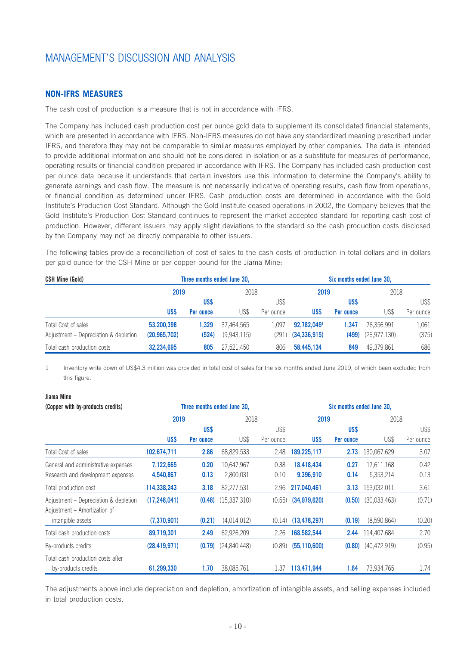### **NON-IFRS MEASURES**

The cash cost of production is a measure that is not in accordance with IFRS.

The Company has included cash production cost per ounce gold data to supplement its consolidated financial statements, which are presented in accordance with IFRS. Non-IFRS measures do not have any standardized meaning prescribed under IFRS, and therefore they may not be comparable to similar measures employed by other companies. The data is intended to provide additional information and should not be considered in isolation or as a substitute for measures of performance, operating results or financial condition prepared in accordance with IFRS. The Company has included cash production cost per ounce data because it understands that certain investors use this information to determine the Company's ability to generate earnings and cash flow. The measure is not necessarily indicative of operating results, cash flow from operations, or financial condition as determined under IFRS. Cash production costs are determined in accordance with the Gold Institute's Production Cost Standard. Although the Gold Institute ceased operations in 2002, the Company believes that the Gold Institute's Production Cost Standard continues to represent the market accepted standard for reporting cash cost of production. However, different issuers may apply slight deviations to the standard so the cash production costs disclosed by the Company may not be directly comparable to other issuers.

The following tables provide a reconciliation of cost of sales to the cash costs of production in total dollars and in dollars per gold ounce for the CSH Mine or per copper pound for the Jiama Mine:

| <b>CSH Mine (Gold)</b>                | Three months ended June 30, |           |             |           | Six months ended June 30. |           |              |           |
|---------------------------------------|-----------------------------|-----------|-------------|-----------|---------------------------|-----------|--------------|-----------|
|                                       | 2019                        |           | 2018        |           | 2019                      |           | 2018         |           |
|                                       |                             | US\$      |             | US\$      |                           | US\$      |              | US\$      |
|                                       | US\$                        | Per ounce | US\$        | Per ounce | US\$                      | Per ounce | US\$         | Per ounce |
| Total Cost of sales                   | 53.200.398                  | 1.329     | 37.464.565  | 1.097     | 92.782.0491               | 1.347     | 76.356.991   | 1,061     |
| Adjustment – Depreciation & depletion | (20, 965, 702)              | (524)     | (9.943.115) | (291).    | (34, 336, 915)            | (499)     | (26,977,130) | (375)     |
| Total cash production costs           | 32.234.695                  | 805       | 27.521.450  | 806       | 58,445,134                | 849       | 49.379.861   | 686       |

1 Inventory write down of US\$4.3 million was provided in total cost of sales for the six months ended June 2019, of which been excluded from this figure.

### **Jiama Mine**

| (Copper with by-products credits)                                     |                |           | Three months ended June 30, |           |                | Six months ended June 30. |                |           |
|-----------------------------------------------------------------------|----------------|-----------|-----------------------------|-----------|----------------|---------------------------|----------------|-----------|
|                                                                       | 2019           |           | 2018                        |           | 2019           |                           | 2018           |           |
|                                                                       |                | US\$      |                             | US\$      |                | US\$                      |                | US\$      |
|                                                                       | US\$           | Per ounce | US\$                        | Per ounce | US\$           | Per ounce                 | US\$           | Per ounce |
| Total Cost of sales                                                   | 102,674,711    | 2.86      | 68,829,533                  | 2.48      | 189,225,117    | 2.73                      | 130,067,629    | 3.07      |
| General and administrative expenses                                   | 7,122,665      | 0.20      | 10,647,967                  | 0.38      | 18,418,434     | 0.27                      | 17,611,168     | 0.42      |
| Research and development expenses                                     | 4,540,867      | 0.13      | 2,800,031                   | 0.10      | 9,396,910      | 0.14                      | 5,353,214      | 0.13      |
| Total production cost                                                 | 114,338,243    | 3.18      | 82,277,531                  | 2.96      | 217,040,461    | 3.13                      | 153,032,011    | 3.61      |
| Adjustment - Depreciation & depletion<br>Adjustment - Amortization of | (17, 248, 041) | (0.48)    | (15,337,310)                | (0.55)    | (34,979,620)   | (0.50)                    | (30,033,463)   | (0.71)    |
| intangible assets                                                     | (7,370,901)    | (0.21)    | (4,014,012)                 | (0.14)    | (13, 478, 297) | (0.19)                    | (8,590,864)    | (0.20)    |
| Total cash production costs                                           | 89,719,301     | 2.49      | 62,926,209                  | 2.26      | 168,582,544    | 2.44                      | 114,407,684    | 2.70      |
| By-products credits                                                   | (28, 419, 971) | (0.79)    | (24,840,448)                | (0.89)    | (55, 110, 600) | (0.80)                    | (40, 472, 919) | (0.95)    |
| Total cash production costs after                                     |                |           |                             |           |                |                           |                |           |
| by-products credits                                                   | 61,299,330     | 1.70      | 38,085,761                  | 1.37      | 113,471,944    | 1.64                      | 73,934,765     | 1.74      |

The adjustments above include depreciation and depletion, amortization of intangible assets, and selling expenses included in total production costs.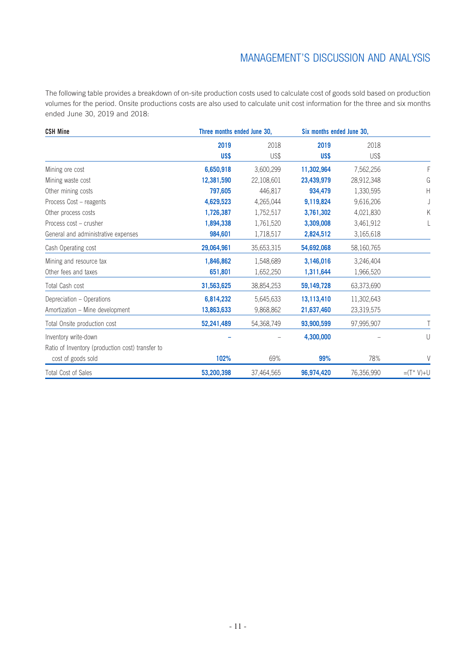The following table provides a breakdown of on-site production costs used to calculate cost of goods sold based on production volumes for the period. Onsite productions costs are also used to calculate unit cost information for the three and six months ended June 30, 2019 and 2018:

| <b>CSH Mine</b>                                  | Three months ended June 30, |              | Six months ended June 30, |              |              |
|--------------------------------------------------|-----------------------------|--------------|---------------------------|--------------|--------------|
|                                                  | 2019<br>US\$                | 2018<br>US\$ | 2019<br>US\$              | 2018<br>US\$ |              |
| Mining ore cost                                  | 6,650,918                   | 3,600,299    | 11,302,964                | 7,562,256    | F            |
| Mining waste cost                                | 12,381,590                  | 22,108,601   | 23,439,979                | 28,912,348   | G            |
| Other mining costs                               | 797,605                     | 446,817      | 934,479                   | 1,330,595    | Н            |
| Process Cost - reagents                          | 4,629,523                   | 4,265,044    | 9,119,824                 | 9,616,206    |              |
| Other process costs                              | 1,726,387                   | 1,752,517    | 3,761,302                 | 4,021,830    | Κ            |
| Process cost - crusher                           | 1,894,338                   | 1,761,520    | 3,309,008                 | 3,461,912    |              |
| General and administrative expenses              | 984,601                     | 1,718,517    | 2,824,512                 | 3,165,618    |              |
| Cash Operating cost                              | 29,064,961                  | 35,653,315   | 54,692,068                | 58,160,765   |              |
| Mining and resource tax                          | 1,846,862                   | 1,548,689    | 3,146,016                 | 3,246,404    |              |
| Other fees and taxes                             | 651,801                     | 1,652,250    | 1,311,644                 | 1,966,520    |              |
| Total Cash cost                                  | 31,563,625                  | 38,854,253   | 59,149,728                | 63,373,690   |              |
| Depreciation - Operations                        | 6,814,232                   | 5,645,633    | 13,113,410                | 11,302,643   |              |
| Amortization - Mine development                  | 13,863,633                  | 9,868,862    | 21,637,460                | 23,319,575   |              |
| Total Onsite production cost                     | 52,241,489                  | 54,368,749   | 93,900,599                | 97,995,907   | Τ            |
| Inventory write-down                             |                             |              | 4,300,000                 |              | U            |
| Ratio of Inventory (production cost) transfer to |                             |              |                           |              |              |
| cost of goods sold                               | 102%                        | 69%          | 99%                       | 78%          | V            |
| <b>Total Cost of Sales</b>                       | 53,200,398                  | 37,464,565   | 96,974,420                | 76,356,990   | $=(T^* V)+U$ |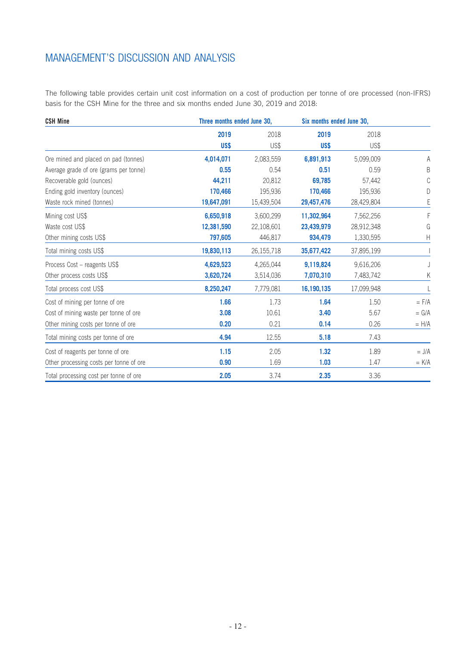The following table provides certain unit cost information on a cost of production per tonne of ore processed (non-IFRS) basis for the CSH Mine for the three and six months ended June 30, 2019 and 2018:

| <b>CSH Mine</b>                         | Three months ended June 30, |            | Six months ended June 30, |            |           |
|-----------------------------------------|-----------------------------|------------|---------------------------|------------|-----------|
|                                         | 2019                        | 2018       | 2019                      | 2018       |           |
|                                         | US\$                        | US\$       | US\$                      | US\$       |           |
| Ore mined and placed on pad (tonnes)    | 4,014,071                   | 2,083,559  | 6,891,913                 | 5,099,009  | Α         |
| Average grade of ore (grams per tonne)  | 0.55                        | 0.54       | 0.51                      | 0.59       | B         |
| Recoverable gold (ounces)               | 44,211                      | 20,812     | 69.785                    | 57,442     | C         |
| Ending gold inventory (ounces)          | 170,466                     | 195,936    | 170,466                   | 195,936    | D         |
| Waste rock mined (tonnes)               | 19,647,091                  | 15,439,504 | 29,457,476                | 28,429,804 | E         |
| Mining cost US\$                        | 6,650,918                   | 3,600,299  | 11,302,964                | 7,562,256  | F         |
| Waste cost US\$                         | 12,381,590                  | 22,108,601 | 23,439,979                | 28,912,348 | G         |
| Other mining costs US\$                 | 797,605                     | 446,817    | 934,479                   | 1,330,595  | Н         |
| Total mining costs US\$                 | 19,830,113                  | 26,155,718 | 35,677,422                | 37,895,199 |           |
| Process Cost – reagents US\$            | 4,629,523                   | 4,265,044  | 9,119,824                 | 9,616,206  |           |
| Other process costs US\$                | 3,620,724                   | 3,514,036  | 7,070,310                 | 7,483,742  | Κ         |
| Total process cost US\$                 | 8,250,247                   | 7,779,081  | 16,190,135                | 17,099,948 |           |
| Cost of mining per tonne of ore         | 1.66                        | 1.73       | 1.64                      | 1.50       | $=$ $F/A$ |
| Cost of mining waste per tonne of ore   | 3.08                        | 10.61      | 3.40                      | 5.67       | $= G/A$   |
| Other mining costs per tonne of ore     | 0.20                        | 0.21       | 0.14                      | 0.26       | $= H/A$   |
| Total mining costs per tonne of ore     | 4.94                        | 12.55      | 5.18                      | 7.43       |           |
| Cost of reagents per tonne of ore       | 1.15                        | 2.05       | 1.32                      | 1.89       | $= J/A$   |
| Other processing costs per tonne of ore | 0.90                        | 1.69       | 1.03                      | 1.47       | $=$ K/A   |
| Total processing cost per tonne of ore  | 2.05                        | 3.74       | 2.35                      | 3.36       |           |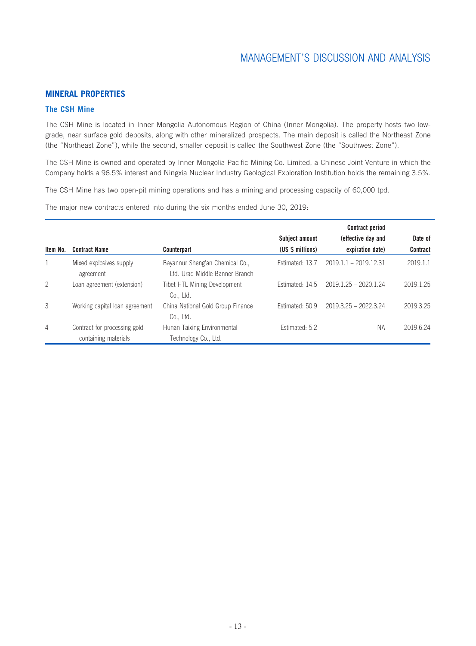### **MINERAL PROPERTIES**

### **The CSH Mine**

The CSH Mine is located in Inner Mongolia Autonomous Region of China (Inner Mongolia). The property hosts two lowgrade, near surface gold deposits, along with other mineralized prospects. The main deposit is called the Northeast Zone (the "Northeast Zone"), while the second, smaller deposit is called the Southwest Zone (the "Southwest Zone").

The CSH Mine is owned and operated by Inner Mongolia Pacific Mining Co. Limited, a Chinese Joint Venture in which the Company holds a 96.5% interest and Ningxia Nuclear Industry Geological Exploration Institution holds the remaining 3.5%.

The CSH Mine has two open-pit mining operations and has a mining and processing capacity of 60,000 tpd.

The major new contracts entered into during the six months ended June 30, 2019:

|                |                                                       |                                                                   |                  | <b>Contract period</b>  |           |
|----------------|-------------------------------------------------------|-------------------------------------------------------------------|------------------|-------------------------|-----------|
|                |                                                       |                                                                   | Subject amount   | (effective day and      | Date of   |
| Item No.       | <b>Contract Name</b>                                  | Counterpart                                                       | (US \$ millions) | expiration date)        | Contract  |
|                | Mixed explosives supply<br>agreement                  | Bayannur Sheng'an Chemical Co.,<br>Ltd. Urad Middle Banner Branch | Estimated: 13.7  | $2019.1.1 - 2019.12.31$ | 2019.1.1  |
| $\overline{2}$ | Loan agreement (extension)                            | Tibet HTL Mining Development<br>Co., Ltd.                         | Estimated: 14.5  | $2019.1.25 - 2020.1.24$ | 2019.1.25 |
| 3              | Working capital loan agreement                        | China National Gold Group Finance<br>Co., Ltd.                    | Estimated: 50.9  | 2019.3.25 - 2022.3.24   | 2019.3.25 |
| $\overline{4}$ | Contract for processing gold-<br>containing materials | Hunan Taixing Environmental<br>Technology Co., Ltd.               | Estimated: 5.2   | <b>NA</b>               | 2019.6.24 |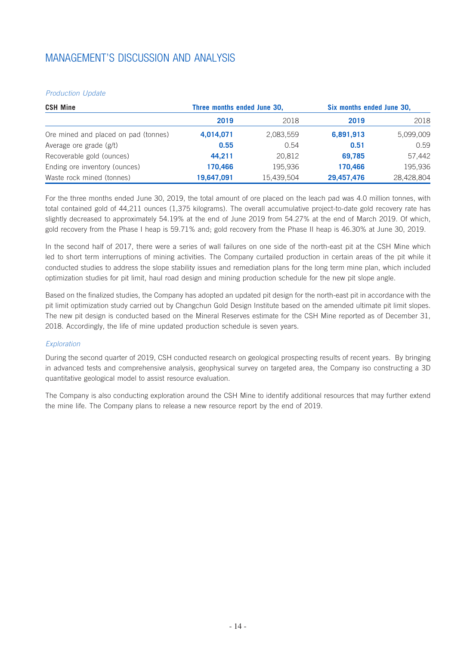### *Production Update*

| <b>CSH Mine</b>                      | Three months ended June 30, |            | Six months ended June 30, |            |  |
|--------------------------------------|-----------------------------|------------|---------------------------|------------|--|
|                                      | 2019                        | 2018       | 2019                      | 2018       |  |
| Ore mined and placed on pad (tonnes) | 4,014,071                   | 2,083,559  | 6,891,913                 | 5,099,009  |  |
| Average ore grade (g/t)              | 0.55                        | 0.54       | 0.51                      | 0.59       |  |
| Recoverable gold (ounces)            | 44.211                      | 20.812     | 69.785                    | 57,442     |  |
| Ending ore inventory (ounces)        | 170,466                     | 195,936    | 170,466                   | 195,936    |  |
| Waste rock mined (tonnes)            | 19,647,091                  | 15,439,504 | 29,457,476                | 28,428,804 |  |

For the three months ended June 30, 2019, the total amount of ore placed on the leach pad was 4.0 million tonnes, with total contained gold of 44,211 ounces (1,375 kilograms). The overall accumulative project-to-date gold recovery rate has slightly decreased to approximately 54.19% at the end of June 2019 from 54.27% at the end of March 2019. Of which, gold recovery from the Phase I heap is 59.71% and; gold recovery from the Phase II heap is 46.30% at June 30, 2019.

In the second half of 2017, there were a series of wall failures on one side of the north-east pit at the CSH Mine which led to short term interruptions of mining activities. The Company curtailed production in certain areas of the pit while it conducted studies to address the slope stability issues and remediation plans for the long term mine plan, which included optimization studies for pit limit, haul road design and mining production schedule for the new pit slope angle.

Based on the finalized studies, the Company has adopted an updated pit design for the north-east pit in accordance with the pit limit optimization study carried out by Changchun Gold Design Institute based on the amended ultimate pit limit slopes. The new pit design is conducted based on the Mineral Reserves estimate for the CSH Mine reported as of December 31, 2018. Accordingly, the life of mine updated production schedule is seven years.

### *Exploration*

During the second quarter of 2019, CSH conducted research on geological prospecting results of recent years. By bringing in advanced tests and comprehensive analysis, geophysical survey on targeted area, the Company iso constructing a 3D quantitative geological model to assist resource evaluation.

The Company is also conducting exploration around the CSH Mine to identify additional resources that may further extend the mine life. The Company plans to release a new resource report by the end of 2019.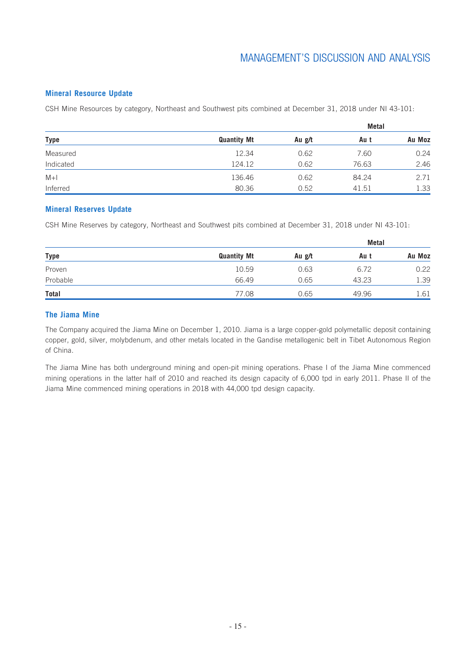### **Mineral Resource Update**

CSH Mine Resources by category, Northeast and Southwest pits combined at December 31, 2018 under NI 43-101:

| Type      |                    |        | Metal |        |
|-----------|--------------------|--------|-------|--------|
|           | <b>Quantity Mt</b> | Au g/t | Au t  | Au Moz |
| Measured  | 12.34              | 0.62   | 7.60  | 0.24   |
| Indicated | 124.12             | 0.62   | 76.63 | 2.46   |
| $M+1$     | 136.46             | 0.62   | 84.24 | 2.71   |
| Inferred  | 80.36              | 0.52   | 41.51 | 1.33   |

### **Mineral Reserves Update**

CSH Mine Reserves by category, Northeast and Southwest pits combined at December 31, 2018 under NI 43-101:

| <b>Type</b> |                    |        | Metal |        |
|-------------|--------------------|--------|-------|--------|
|             | <b>Quantity Mt</b> | Au g/t | Au t  | Au Moz |
| Proven      | 10.59              | 0.63   | 6.72  | 0.22   |
| Probable    | 66.49              | 0.65   | 43.23 | 1.39   |
| Total       | 77.08              | 0.65   | 49.96 | 1.61   |

### **The Jiama Mine**

The Company acquired the Jiama Mine on December 1, 2010. Jiama is a large copper-gold polymetallic deposit containing copper, gold, silver, molybdenum, and other metals located in the Gandise metallogenic belt in Tibet Autonomous Region of China.

The Jiama Mine has both underground mining and open-pit mining operations. Phase I of the Jiama Mine commenced mining operations in the latter half of 2010 and reached its design capacity of 6,000 tpd in early 2011. Phase II of the Jiama Mine commenced mining operations in 2018 with 44,000 tpd design capacity.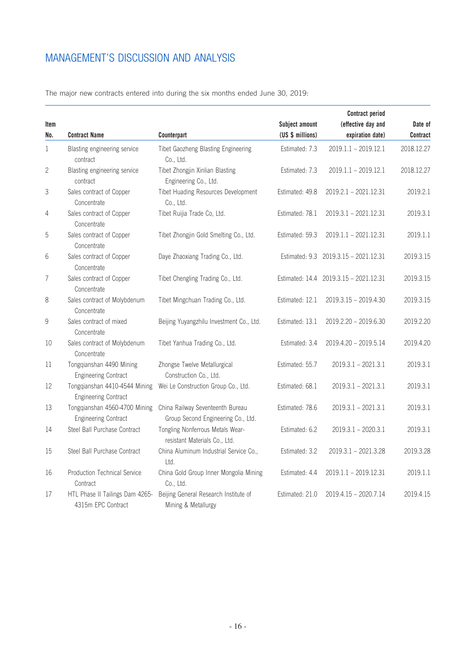| ltem           | <b>Contract Name</b>                                         |                                                                        | Subject amount<br>(US \$ millions) | <b>Contract period</b><br>(effective day and<br>expiration date) | Date of<br>Contract |
|----------------|--------------------------------------------------------------|------------------------------------------------------------------------|------------------------------------|------------------------------------------------------------------|---------------------|
| No.            |                                                              | Counterpart                                                            |                                    |                                                                  |                     |
| 1              | Blasting engineering service<br>contract                     | Tibet Gaozheng Blasting Engineering<br>Co., Ltd.                       | Estimated: 7.3                     | $2019.1.1 - 2019.12.1$                                           | 2018.12.27          |
| $\mathbf{2}$   | Blasting engineering service<br>contract                     | Tibet Zhongjin Xinlian Blasting<br>Engineering Co., Ltd.               | Estimated: 7.3                     | $2019.1.1 - 2019.12.1$                                           | 2018.12.27          |
| 3              | Sales contract of Copper<br>Concentrate                      | Tibet Huading Resources Development<br>Co., Ltd.                       | Estimated: 49.8                    | $2019.2.1 - 2021.12.31$                                          | 2019.2.1            |
| 4              | Sales contract of Copper<br>Concentrate                      | Tibet Ruijia Trade Co, Ltd.                                            | Estimated: 78.1                    | 2019.3.1 - 2021.12.31                                            | 2019.3.1            |
| 5              | Sales contract of Copper<br>Concentrate                      | Tibet Zhongjin Gold Smelting Co., Ltd.                                 | Estimated: 59.3                    | $2019.1.1 - 2021.12.31$                                          | 2019.1.1            |
| 6              | Sales contract of Copper<br>Concentrate                      | Daye Zhaoxiang Trading Co., Ltd.                                       |                                    | Estimated: 9.3 2019.3.15 - 2021.12.31                            | 2019.3.15           |
| $\overline{7}$ | Sales contract of Copper<br>Concentrate                      | Tibet Chengling Trading Co., Ltd.                                      |                                    | Estimated: 14.4 2019.3.15 - 2021.12.31                           | 2019.3.15           |
| 8              | Sales contract of Molybdenum<br>Concentrate                  | Tibet Mingchuan Trading Co., Ltd.                                      | Estimated: 12.1                    | 2019.3.15 - 2019.4.30                                            | 2019.3.15           |
| 9              | Sales contract of mixed<br>Concentrate                       | Beijing Yuyangzhilu Investment Co., Ltd.                               | Estimated: 13.1                    | 2019.2.20 - 2019.6.30                                            | 2019.2.20           |
| 10             | Sales contract of Molybdenum<br>Concentrate                  | Tibet Yanhua Trading Co., Ltd.                                         | Estimated: 3.4                     | 2019.4.20 - 2019.5.14                                            | 2019.4.20           |
| 11             | Tongqianshan 4490 Mining<br><b>Engineering Contract</b>      | Zhongse Twelve Metallurgical<br>Construction Co., Ltd.                 | Estimated: 55.7                    | $2019.3.1 - 2021.3.1$                                            | 2019.3.1            |
| 12             | Tongqianshan 4410-4544 Mining<br><b>Engineering Contract</b> | Wei Le Construction Group Co., Ltd.                                    | Estimated: 68.1                    | $2019.3.1 - 2021.3.1$                                            | 2019.3.1            |
| 13             | Tongqianshan 4560-4700 Mining<br><b>Engineering Contract</b> | China Railway Seventeenth Bureau<br>Group Second Engineering Co., Ltd. | Estimated: 78.6                    | $2019.3.1 - 2021.3.1$                                            | 2019.3.1            |
| 14             | Steel Ball Purchase Contract                                 | Tongling Nonferrous Metals Wear-<br>resistant Materials Co., Ltd.      | Estimated: 6.2                     | $2019.3.1 - 2020.3.1$                                            | 2019.3.1            |
| 15             | Steel Ball Purchase Contract                                 | China Aluminum Industrial Service Co.,<br>Ltd.                         | Estimated: 3.2                     | 2019.3.1 - 2021.3.28                                             | 2019.3.28           |
| 16             | Production Technical Service<br>Contract                     | China Gold Group Inner Mongolia Mining<br>Co., Ltd.                    | Estimated: 4.4                     | 2019.1.1 - 2019.12.31                                            | 2019.1.1            |
| 17             | HTL Phase II Tailings Dam 4265-<br>4315m EPC Contract        | Beijing General Research Institute of<br>Mining & Metallurgy           | Estimated: 21.0                    | 2019.4.15 - 2020.7.14                                            | 2019.4.15           |

The major new contracts entered into during the six months ended June 30, 2019: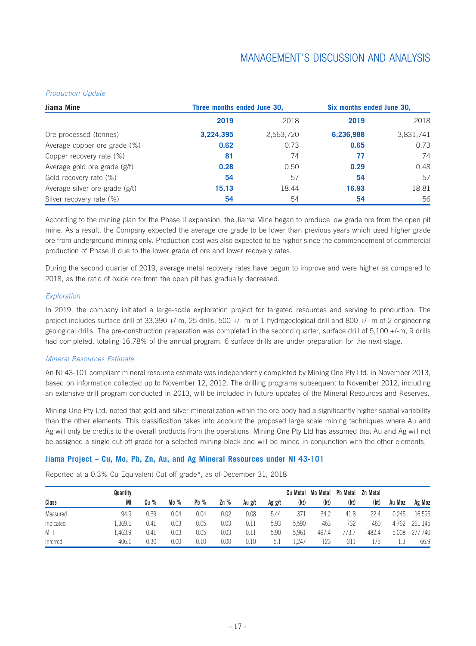#### *Production Update*

| Jiama Mine                     | Three months ended June 30, |           | Six months ended June 30, |           |  |
|--------------------------------|-----------------------------|-----------|---------------------------|-----------|--|
|                                | 2019                        | 2018      | 2019                      | 2018      |  |
| Ore processed (tonnes)         | 3,224,395                   | 2,563,720 | 6,236,988                 | 3,831,741 |  |
| Average copper ore grade (%)   | 0.62                        | 0.73      | 0.65                      | 0.73      |  |
| Copper recovery rate (%)       | 81                          | 74        | 77                        | 74        |  |
| Average gold ore grade (g/t)   | 0.28                        | 0.50      | 0.29                      | 0.48      |  |
| Gold recovery rate (%)         | 54                          | 57        | 54                        | 57        |  |
| Average silver ore grade (g/t) | 15.13                       | 18.44     | 16.93                     | 18.81     |  |
| Silver recovery rate (%)       | 54                          | 54        | 54                        | 56        |  |

According to the mining plan for the Phase II expansion, the Jiama Mine began to produce low grade ore from the open pit mine. As a result, the Company expected the average ore grade to be lower than previous years which used higher grade ore from underground mining only. Production cost was also expected to be higher since the commencement of commercial production of Phase II due to the lower grade of ore and lower recovery rates.

During the second quarter of 2019, average metal recovery rates have begun to improve and were higher as compared to 2018, as the ratio of oxide ore from the open pit has gradually decreased.

#### *Exploration*

In 2019, the company initiated a large-scale exploration project for targeted resources and serving to production. The project includes surface drill of 33,390 +/-m, 25 drills, 500 +/- m of 1 hydrogeological drill and 800 +/- m of 2 engineering geological drills. The pre-construction preparation was completed in the second quarter, surface drill of 5,100 +/-m, 9 drills had completed, totaling 16.78% of the annual program. 6 surface drills are under preparation for the next stage.

#### *Mineral Resources Estimate*

An NI 43-101 compliant mineral resource estimate was independently completed by Mining One Pty Ltd. in November 2013, based on information collected up to November 12, 2012. The drilling programs subsequent to November 2012, including an extensive drill program conducted in 2013, will be included in future updates of the Mineral Resources and Reserves.

Mining One Pty Ltd. noted that gold and silver mineralization within the ore body had a significantly higher spatial variability than the other elements. This classification takes into account the proposed large scale mining techniques where Au and Ag will only be credits to the overall products from the operations. Mining One Pty Ltd has assumed that Au and Ag will not be assigned a single cut-off grade for a selected mining block and will be mined in conjunction with the other elements.

### **Jiama Project – Cu, Mo, Pb, Zn, Au, and Ag Mineral Resources under NI 43-101**

**Class Quantity Mt Cu % Mo % Pb % Zn % Au g/t Ag g/t Cu Metal Mo Metal Pb Metal Zn Metal (kt) (kt) (kt) (kt) Au Moz Ag Moz** Measured 94.9 0.39 0.04 0.04 0.02 0.08 5.44 371 34.2 41.8 22.4 0.245 16.595 Indicated 1,369.1 0.41 0.03 0.05 0.03 0.11 5.93 5,590 463 732 460 4.762 261.145 M+I 1,463.9 0.41 0.03 0.05 0.03 0.11 5.90 5,961 497.4 773.7 482.4 5.008 277.740 Inferred 406.1 0.30 0.00 0.10 0.00 0.10 5.1 1,247 123 311 175 1.3 66.9

Reported at a 0.3% Cu Equivalent Cut off grade\*, as of December 31, 2018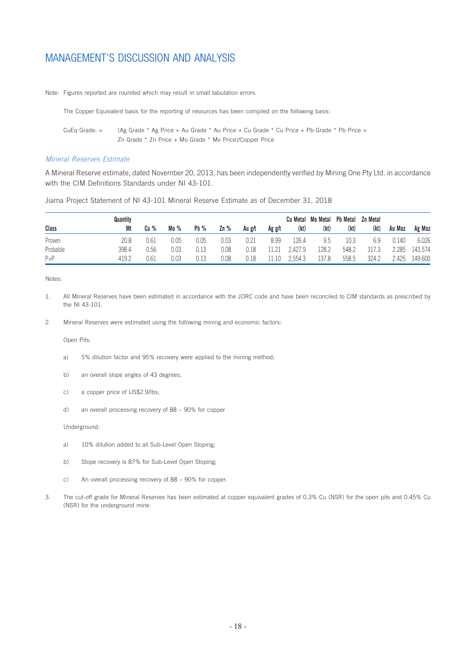Note: Figures reported are rounded which may result in small tabulation errors.

The Copper Equivalent basis for the reporting of resources has been compiled on the following basis:

CuEq Grade: = (Ag Grade \* Ag Price + Au Grade \* Au Price + Cu Grade \* Cu Price + Pb Grade \* Pb Price + Zn Grade \* Zn Price + Mo Grade \* Mo Price)/Copper Price

#### *Mineral Reserves Estimate*

A Mineral Reserve estimate, dated November 20, 2013, has been independently verified by Mining One Pty Ltd. in accordance with the CIM Definitions Standards under NI 43-101.

Jiama Project Statement of NI 43-101 Mineral Reserve Estimate as of December 31, 2018

|          | Quantity |      |      |        |        |        |        |         | Cu Metal Mo Metal | <b>Pb Metal</b> | Zn Metal |        |         |
|----------|----------|------|------|--------|--------|--------|--------|---------|-------------------|-----------------|----------|--------|---------|
| Class    | Mt       | Cu % | Mo % | $Pb\%$ | $Zn\%$ | Au g/t | Ag g/t | (kt)    | (kt)              | (kt)            | (kt)     | Au Moz | Ag Moz  |
| Proven   | 20.8     | 0.61 | 0.05 | 0.05   | 0.03   | 0.21   | 8.99   | .26.4   | 9.5               | 10.3            | 6.9      | 0.140  | 6.026   |
| Probable | 398.4    | 0.56 | 0.03 | 0.13   | 0.08   | 0.18   | 1 21   | 2.427.9 | 128.2             | 548.2           | 317.3    | 2.285  | 143.574 |
| $P + P$  | 419.2    | 0.61 | 0.03 | 0.13   | 0.08   | 0.18   | 11.10  | 2.554.3 | 137.8             | 558.5           | 324.2    | 2.425  | 149.600 |

Notes:

- 1. All Mineral Reserves have been estimated in accordance with the JORC code and have been reconciled to CIM standards as prescribed by the NI 43-101.
- 2. Mineral Reserves were estimated using the following mining and economic factors:

Open Pits:

- a) 5% dilution factor and 95% recovery were applied to the mining method;
- b) an overall slope angles of 43 degrees;
- c) a copper price of US\$2.9/lbs;
- d) an overall processing recovery of 88 90% for copper

Underground:

- a) 10% dilution added to all Sub-Level Open Stoping;
- b) Stope recovery is 87% for Sub-Level Open Stoping;
- c) An overall processing recovery of 88 90% for copper.
- 3. The cut-off grade for Mineral Reserves has been estimated at copper equivalent grades of 0.3% Cu (NSR) for the open pits and 0.45% Cu (NSR) for the underground mine.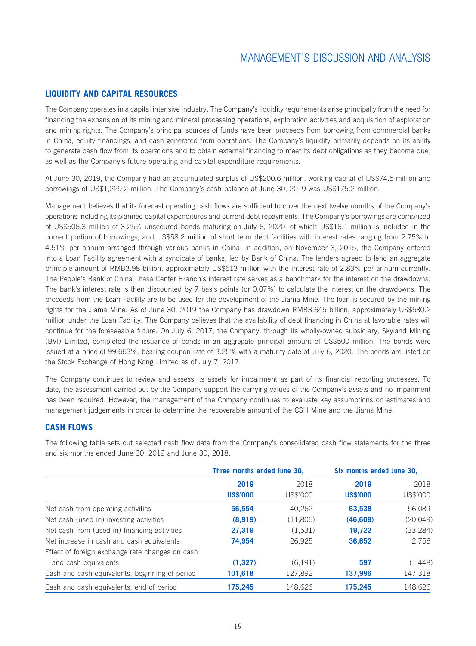### **LIQUIDITY AND CAPITAL RESOURCES**

The Company operates in a capital intensive industry. The Company's liquidity requirements arise principally from the need for financing the expansion of its mining and mineral processing operations, exploration activities and acquisition of exploration and mining rights. The Company's principal sources of funds have been proceeds from borrowing from commercial banks in China, equity financings, and cash generated from operations. The Company's liquidity primarily depends on its ability to generate cash flow from its operations and to obtain external financing to meet its debt obligations as they become due, as well as the Company's future operating and capital expenditure requirements.

At June 30, 2019, the Company had an accumulated surplus of US\$200.6 million, working capital of US\$74.5 million and borrowings of US\$1,229.2 million. The Company's cash balance at June 30, 2019 was US\$175.2 million.

Management believes that its forecast operating cash flows are sufficient to cover the next twelve months of the Company's operations including its planned capital expenditures and current debt repayments. The Company's borrowings are comprised of US\$506.3 million of 3.25% unsecured bonds maturing on July 6, 2020, of which US\$16.1 million is included in the current portion of borrowings, and US\$58.2 million of short term debt facilities with interest rates ranging from 2.75% to 4.51% per annum arranged through various banks in China. In addition, on November 3, 2015, the Company entered into a Loan Facility agreement with a syndicate of banks, led by Bank of China. The lenders agreed to lend an aggregate principle amount of RMB3.98 billion, approximately US\$613 million with the interest rate of 2.83% per annum currently. The People's Bank of China Lhasa Center Branch's interest rate serves as a benchmark for the interest on the drawdowns. The bank's interest rate is then discounted by 7 basis points (or 0.07%) to calculate the interest on the drawdowns. The proceeds from the Loan Facility are to be used for the development of the Jiama Mine. The loan is secured by the mining rights for the Jiama Mine. As of June 30, 2019 the Company has drawdown RMB3.645 billion, approximately US\$530.2 million under the Loan Facility. The Company believes that the availability of debt financing in China at favorable rates will continue for the foreseeable future. On July 6, 2017, the Company, through its wholly-owned subsidiary, Skyland Mining (BVI) Limited, completed the issuance of bonds in an aggregate principal amount of US\$500 million. The bonds were issued at a price of 99.663%, bearing coupon rate of 3.25% with a maturity date of July 6, 2020. The bonds are listed on the Stock Exchange of Hong Kong Limited as of July 7, 2017.

The Company continues to review and assess its assets for impairment as part of its financial reporting processes. To date, the assessment carried out by the Company support the carrying values of the Company's assets and no impairment has been required. However, the management of the Company continues to evaluate key assumptions on estimates and management judgements in order to determine the recoverable amount of the CSH Mine and the Jiama Mine.

### **CASH FLOWS**

**Three months ended June 30, Six months ended June 30, 2019** 2018 **2019** 2018 **US\$'000** US\$'000 **US\$'000** US\$'000 Net cash from operating activities **56,554** 40,262 **63,538** 56,089 Net cash (used in) investing activities **(8,919)** (11,806) **(46,608)** (20,049) Net cash from (used in) financing activities **27,319** (1,531) **19,722** (33,284) Net increase in cash and cash equivalents **74,954** 26,925 **36,652** 2,756 Effect of foreign exchange rate changes on cash and cash equivalents **(1,327)** (6,191) **597** (1,448) Cash and cash equivalents, beginning of period **101,618** 127,892 **137,996** 147,318 Cash and cash equivalents, end of period **175,245** 148,626 **175,245** 148,626

The following table sets out selected cash flow data from the Company's consolidated cash flow statements for the three and six months ended June 30, 2019 and June 30, 2018.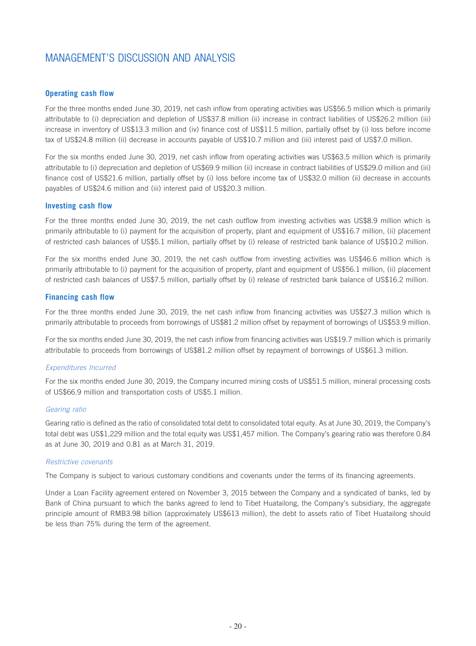### **Operating cash flow**

For the three months ended June 30, 2019, net cash inflow from operating activities was US\$56.5 million which is primarily attributable to (i) depreciation and depletion of US\$37.8 million (ii) increase in contract liabilities of US\$26.2 million (iii) increase in inventory of US\$13.3 million and (iv) finance cost of US\$11.5 million, partially offset by (i) loss before income tax of US\$24.8 million (ii) decrease in accounts payable of US\$10.7 million and (iii) interest paid of US\$7.0 million.

For the six months ended June 30, 2019, net cash inflow from operating activities was US\$63.5 million which is primarily attributable to (i) depreciation and depletion of US\$69.9 million (ii) increase in contract liabilities of US\$29.0 million and (iii) finance cost of US\$21.6 million, partially offset by (i) loss before income tax of US\$32.0 million (ii) decrease in accounts payables of US\$24.6 million and (iii) interest paid of US\$20.3 million.

#### **Investing cash flow**

For the three months ended June 30, 2019, the net cash outflow from investing activities was US\$8.9 million which is primarily attributable to (i) payment for the acquisition of property, plant and equipment of US\$16.7 million, (ii) placement of restricted cash balances of US\$5.1 million, partially offset by (i) release of restricted bank balance of US\$10.2 million.

For the six months ended June 30, 2019, the net cash outflow from investing activities was US\$46.6 million which is primarily attributable to (i) payment for the acquisition of property, plant and equipment of US\$56.1 million, (ii) placement of restricted cash balances of US\$7.5 million, partially offset by (i) release of restricted bank balance of US\$16.2 million.

#### **Financing cash flow**

For the three months ended June 30, 2019, the net cash inflow from financing activities was US\$27.3 million which is primarily attributable to proceeds from borrowings of US\$81.2 million offset by repayment of borrowings of US\$53.9 million.

For the six months ended June 30, 2019, the net cash inflow from financing activities was US\$19.7 million which is primarily attributable to proceeds from borrowings of US\$81.2 million offset by repayment of borrowings of US\$61.3 million.

#### *Expenditures Incurred*

For the six months ended June 30, 2019, the Company incurred mining costs of US\$51.5 million, mineral processing costs of US\$66.9 million and transportation costs of US\$5.1 million.

#### *Gearing ratio*

Gearing ratio is defined as the ratio of consolidated total debt to consolidated total equity. As at June 30, 2019, the Company's total debt was US\$1,229 million and the total equity was US\$1,457 million. The Company's gearing ratio was therefore 0.84 as at June 30, 2019 and 0.81 as at March 31, 2019.

#### *Restrictive covenants*

The Company is subject to various customary conditions and covenants under the terms of its financing agreements.

Under a Loan Facility agreement entered on November 3, 2015 between the Company and a syndicated of banks, led by Bank of China pursuant to which the banks agreed to lend to Tibet Huatailong, the Company's subsidiary, the aggregate principle amount of RMB3.98 billion (approximately US\$613 million), the debt to assets ratio of Tibet Huatailong should be less than 75% during the term of the agreement.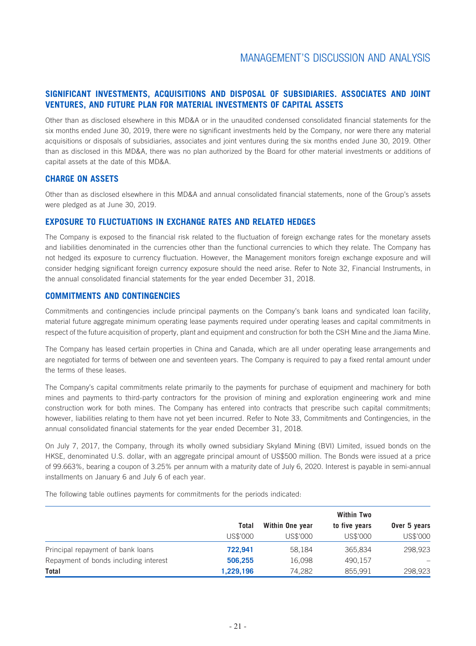### **SIGNIFICANT INVESTMENTS, ACQUISITIONS AND DISPOSAL OF SUBSIDIARIES. ASSOCIATES AND JOINT VENTURES, AND FUTURE PLAN FOR MATERIAL INVESTMENTS OF CAPITAL ASSETS**

Other than as disclosed elsewhere in this MD&A or in the unaudited condensed consolidated financial statements for the six months ended June 30, 2019, there were no significant investments held by the Company, nor were there any material acquisitions or disposals of subsidiaries, associates and joint ventures during the six months ended June 30, 2019. Other than as disclosed in this MD&A, there was no plan authorized by the Board for other material investments or additions of capital assets at the date of this MD&A.

### **CHARGE ON ASSETS**

Other than as disclosed elsewhere in this MD&A and annual consolidated financial statements, none of the Group's assets were pledged as at June 30, 2019.

### **EXPOSURE TO FLUCTUATIONS IN EXCHANGE RATES AND RELATED HEDGES**

The Company is exposed to the financial risk related to the fluctuation of foreign exchange rates for the monetary assets and liabilities denominated in the currencies other than the functional currencies to which they relate. The Company has not hedged its exposure to currency fluctuation. However, the Management monitors foreign exchange exposure and will consider hedging significant foreign currency exposure should the need arise. Refer to Note 32, Financial Instruments, in the annual consolidated financial statements for the year ended December 31, 2018.

### **COMMITMENTS AND CONTINGENCIES**

Commitments and contingencies include principal payments on the Company's bank loans and syndicated loan facility, material future aggregate minimum operating lease payments required under operating leases and capital commitments in respect of the future acquisition of property, plant and equipment and construction for both the CSH Mine and the Jiama Mine.

The Company has leased certain properties in China and Canada, which are all under operating lease arrangements and are negotiated for terms of between one and seventeen years. The Company is required to pay a fixed rental amount under the terms of these leases.

The Company's capital commitments relate primarily to the payments for purchase of equipment and machinery for both mines and payments to third-party contractors for the provision of mining and exploration engineering work and mine construction work for both mines. The Company has entered into contracts that prescribe such capital commitments; however, liabilities relating to them have not yet been incurred. Refer to Note 33, Commitments and Contingencies, in the annual consolidated financial statements for the year ended December 31, 2018.

On July 7, 2017, the Company, through its wholly owned subsidiary Skyland Mining (BVI) Limited, issued bonds on the HKSE, denominated U.S. dollar, with an aggregate principal amount of US\$500 million. The Bonds were issued at a price of 99.663%, bearing a coupon of 3.25% per annum with a maturity date of July 6, 2020. Interest is payable in semi-annual installments on January 6 and July 6 of each year.

The following table outlines payments for commitments for the periods indicated:

|                                       |           | <b>Within Two</b> |               |              |  |  |  |  |
|---------------------------------------|-----------|-------------------|---------------|--------------|--|--|--|--|
|                                       | Total     | Within One year   | to five years | Over 5 years |  |  |  |  |
|                                       | US\$'000  | US\$'000          | US\$'000      | US\$'000     |  |  |  |  |
| Principal repayment of bank loans     | 722.941   | 58,184            | 365,834       | 298,923      |  |  |  |  |
| Repayment of bonds including interest | 506,255   | 16,098            | 490,157       |              |  |  |  |  |
| <b>Total</b>                          | 1,229,196 | 74,282            | 855.991       | 298,923      |  |  |  |  |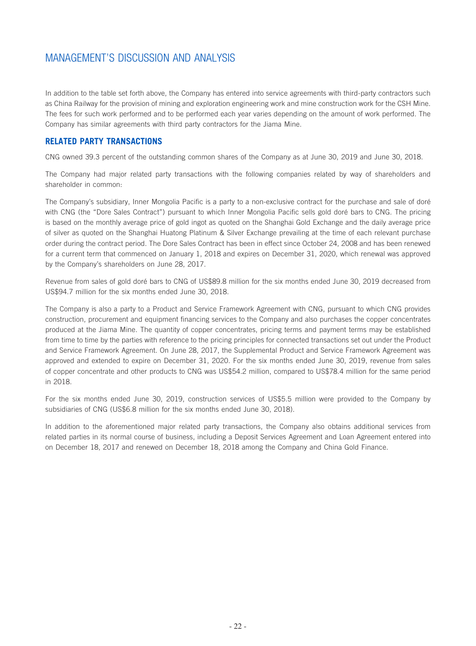In addition to the table set forth above, the Company has entered into service agreements with third-party contractors such as China Railway for the provision of mining and exploration engineering work and mine construction work for the CSH Mine. The fees for such work performed and to be performed each year varies depending on the amount of work performed. The Company has similar agreements with third party contractors for the Jiama Mine.

### **RELATED PARTY TRANSACTIONS**

CNG owned 39.3 percent of the outstanding common shares of the Company as at June 30, 2019 and June 30, 2018.

The Company had major related party transactions with the following companies related by way of shareholders and shareholder in common:

The Company's subsidiary, Inner Mongolia Pacific is a party to a non-exclusive contract for the purchase and sale of doré with CNG (the "Dore Sales Contract") pursuant to which Inner Mongolia Pacific sells gold doré bars to CNG. The pricing is based on the monthly average price of gold ingot as quoted on the Shanghai Gold Exchange and the daily average price of silver as quoted on the Shanghai Huatong Platinum & Silver Exchange prevailing at the time of each relevant purchase order during the contract period. The Dore Sales Contract has been in effect since October 24, 2008 and has been renewed for a current term that commenced on January 1, 2018 and expires on December 31, 2020, which renewal was approved by the Company's shareholders on June 28, 2017.

Revenue from sales of gold doré bars to CNG of US\$89.8 million for the six months ended June 30, 2019 decreased from US\$94.7 million for the six months ended June 30, 2018.

The Company is also a party to a Product and Service Framework Agreement with CNG, pursuant to which CNG provides construction, procurement and equipment financing services to the Company and also purchases the copper concentrates produced at the Jiama Mine. The quantity of copper concentrates, pricing terms and payment terms may be established from time to time by the parties with reference to the pricing principles for connected transactions set out under the Product and Service Framework Agreement. On June 28, 2017, the Supplemental Product and Service Framework Agreement was approved and extended to expire on December 31, 2020. For the six months ended June 30, 2019, revenue from sales of copper concentrate and other products to CNG was US\$54.2 million, compared to US\$78.4 million for the same period in 2018.

For the six months ended June 30, 2019, construction services of US\$5.5 million were provided to the Company by subsidiaries of CNG (US\$6.8 million for the six months ended June 30, 2018).

In addition to the aforementioned major related party transactions, the Company also obtains additional services from related parties in its normal course of business, including a Deposit Services Agreement and Loan Agreement entered into on December 18, 2017 and renewed on December 18, 2018 among the Company and China Gold Finance.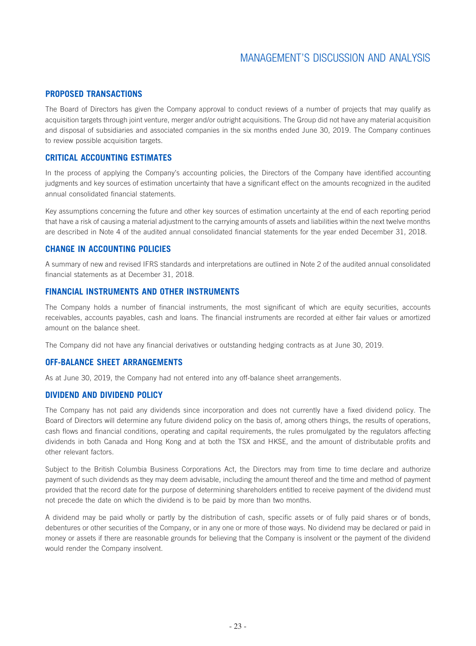### **PROPOSED TRANSACTIONS**

The Board of Directors has given the Company approval to conduct reviews of a number of projects that may qualify as acquisition targets through joint venture, merger and/or outright acquisitions. The Group did not have any material acquisition and disposal of subsidiaries and associated companies in the six months ended June 30, 2019. The Company continues to review possible acquisition targets.

### **CRITICAL ACCOUNTING ESTIMATES**

In the process of applying the Company's accounting policies, the Directors of the Company have identified accounting judgments and key sources of estimation uncertainty that have a significant effect on the amounts recognized in the audited annual consolidated financial statements.

Key assumptions concerning the future and other key sources of estimation uncertainty at the end of each reporting period that have a risk of causing a material adjustment to the carrying amounts of assets and liabilities within the next twelve months are described in Note 4 of the audited annual consolidated financial statements for the year ended December 31, 2018.

### **CHANGE IN ACCOUNTING POLICIES**

A summary of new and revised IFRS standards and interpretations are outlined in Note 2 of the audited annual consolidated financial statements as at December 31, 2018.

### **FINANCIAL INSTRUMENTS AND OTHER INSTRUMENTS**

The Company holds a number of financial instruments, the most significant of which are equity securities, accounts receivables, accounts payables, cash and loans. The financial instruments are recorded at either fair values or amortized amount on the balance sheet.

The Company did not have any financial derivatives or outstanding hedging contracts as at June 30, 2019.

### **OFF-BALANCE SHEET ARRANGEMENTS**

As at June 30, 2019, the Company had not entered into any off-balance sheet arrangements.

### **DIVIDEND AND DIVIDEND POLICY**

The Company has not paid any dividends since incorporation and does not currently have a fixed dividend policy. The Board of Directors will determine any future dividend policy on the basis of, among others things, the results of operations, cash flows and financial conditions, operating and capital requirements, the rules promulgated by the regulators affecting dividends in both Canada and Hong Kong and at both the TSX and HKSE, and the amount of distributable profits and other relevant factors.

Subject to the British Columbia Business Corporations Act, the Directors may from time to time declare and authorize payment of such dividends as they may deem advisable, including the amount thereof and the time and method of payment provided that the record date for the purpose of determining shareholders entitled to receive payment of the dividend must not precede the date on which the dividend is to be paid by more than two months.

A dividend may be paid wholly or partly by the distribution of cash, specific assets or of fully paid shares or of bonds, debentures or other securities of the Company, or in any one or more of those ways. No dividend may be declared or paid in money or assets if there are reasonable grounds for believing that the Company is insolvent or the payment of the dividend would render the Company insolvent.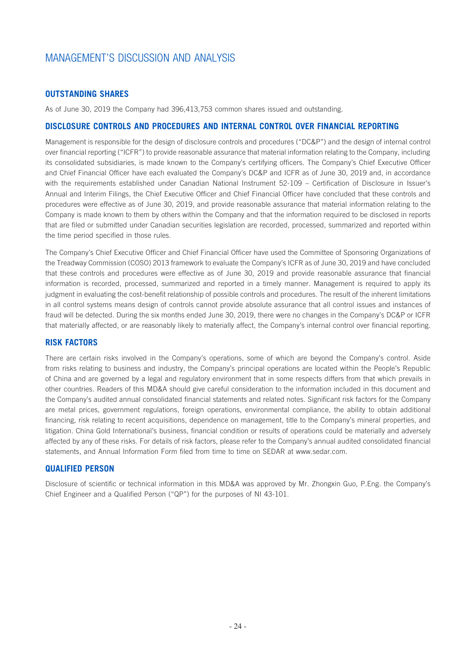### **OUTSTANDING SHARES**

As of June 30, 2019 the Company had 396,413,753 common shares issued and outstanding.

### **DISCLOSURE CONTROLS AND PROCEDURES AND INTERNAL CONTROL OVER FINANCIAL REPORTING**

Management is responsible for the design of disclosure controls and procedures ("DC&P") and the design of internal control over financial reporting ("ICFR") to provide reasonable assurance that material information relating to the Company, including its consolidated subsidiaries, is made known to the Company's certifying officers. The Company's Chief Executive Officer and Chief Financial Officer have each evaluated the Company's DC&P and ICFR as of June 30, 2019 and, in accordance with the requirements established under Canadian National Instrument 52-109 – Certification of Disclosure in Issuer's Annual and Interim Filings, the Chief Executive Officer and Chief Financial Officer have concluded that these controls and procedures were effective as of June 30, 2019, and provide reasonable assurance that material information relating to the Company is made known to them by others within the Company and that the information required to be disclosed in reports that are filed or submitted under Canadian securities legislation are recorded, processed, summarized and reported within the time period specified in those rules.

The Company's Chief Executive Officer and Chief Financial Officer have used the Committee of Sponsoring Organizations of the Treadway Commission (COSO) 2013 framework to evaluate the Company's ICFR as of June 30, 2019 and have concluded that these controls and procedures were effective as of June 30, 2019 and provide reasonable assurance that financial information is recorded, processed, summarized and reported in a timely manner. Management is required to apply its judgment in evaluating the cost-benefit relationship of possible controls and procedures. The result of the inherent limitations in all control systems means design of controls cannot provide absolute assurance that all control issues and instances of fraud will be detected. During the six months ended June 30, 2019, there were no changes in the Company's DC&P or ICFR that materially affected, or are reasonably likely to materially affect, the Company's internal control over financial reporting.

### **RISK FACTORS**

There are certain risks involved in the Company's operations, some of which are beyond the Company's control. Aside from risks relating to business and industry, the Company's principal operations are located within the People's Republic of China and are governed by a legal and regulatory environment that in some respects differs from that which prevails in other countries. Readers of this MD&A should give careful consideration to the information included in this document and the Company's audited annual consolidated financial statements and related notes. Significant risk factors for the Company are metal prices, government regulations, foreign operations, environmental compliance, the ability to obtain additional financing, risk relating to recent acquisitions, dependence on management, title to the Company's mineral properties, and litigation. China Gold International's business, financial condition or results of operations could be materially and adversely affected by any of these risks. For details of risk factors, please refer to the Company's annual audited consolidated financial statements, and Annual Information Form filed from time to time on SEDAR at www.sedar.com.

### **QUALIFIED PERSON**

Disclosure of scientific or technical information in this MD&A was approved by Mr. Zhongxin Guo, P.Eng. the Company's Chief Engineer and a Qualified Person ("QP") for the purposes of NI 43-101.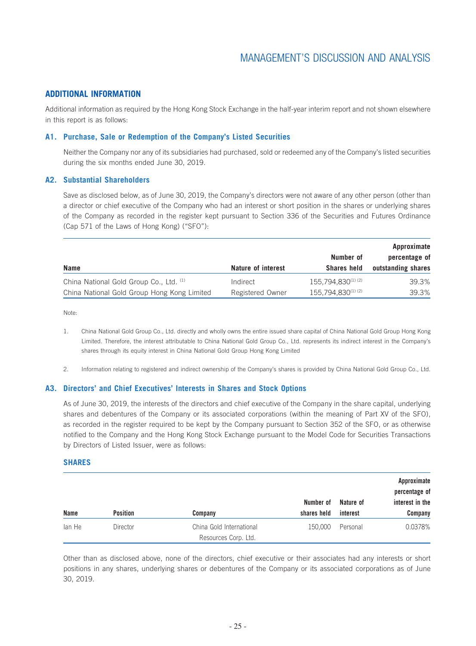### **ADDITIONAL INFORMATION**

Additional information as required by the Hong Kong Stock Exchange in the half-year interim report and not shown elsewhere in this report is as follows:

### **A1. Purchase, Sale or Redemption of the Company's Listed Securities**

Neither the Company nor any of its subsidiaries had purchased, sold or redeemed any of the Company's listed securities during the six months ended June 30, 2019.

### **A2. Substantial Shareholders**

Save as disclosed below, as of June 30, 2019, the Company's directors were not aware of any other person (other than a director or chief executive of the Company who had an interest or short position in the shares or underlying shares of the Company as recorded in the register kept pursuant to Section 336 of the Securities and Futures Ordinance (Cap 571 of the Laws of Hong Kong) ("SFO"):

|                                             |                    |                    | Approximate        |
|---------------------------------------------|--------------------|--------------------|--------------------|
|                                             |                    | Number of          | percentage of      |
| <b>Name</b>                                 | Nature of interest | <b>Shares held</b> | outstanding shares |
| China National Gold Group Co., Ltd. (1)     | Indirect           | 155,794,830(1)(2)  | 39.3%              |
| China National Gold Group Hong Kong Limited | Registered Owner   | 155.794.830(1)(2)  | 39.3%              |

Note:

- 1. China National Gold Group Co., Ltd. directly and wholly owns the entire issued share capital of China National Gold Group Hong Kong Limited. Therefore, the interest attributable to China National Gold Group Co., Ltd. represents its indirect interest in the Company's shares through its equity interest in China National Gold Group Hong Kong Limited
- 2. Information relating to registered and indirect ownership of the Company's shares is provided by China National Gold Group Co., Ltd.

#### **A3. Directors' and Chief Executives' Interests in Shares and Stock Options**

As of June 30, 2019, the interests of the directors and chief executive of the Company in the share capital, underlying shares and debentures of the Company or its associated corporations (within the meaning of Part XV of the SFO), as recorded in the register required to be kept by the Company pursuant to Section 352 of the SFO, or as otherwise notified to the Company and the Hong Kong Stock Exchange pursuant to the Model Code for Securities Transactions by Directors of Listed Issuer, were as follows:

#### **SHARES**

|             |                 |                          | Number of   | Nature of | Approximate<br>percentage of<br>interest in the |
|-------------|-----------------|--------------------------|-------------|-----------|-------------------------------------------------|
| <b>Name</b> | <b>Position</b> | Company                  | shares held | interest  | Company                                         |
| lan He      | Director        | China Gold International | 150,000     | Personal  | 0.0378%                                         |
|             |                 | Resources Corp. Ltd.     |             |           |                                                 |

Other than as disclosed above, none of the directors, chief executive or their associates had any interests or short positions in any shares, underlying shares or debentures of the Company or its associated corporations as of June 30, 2019.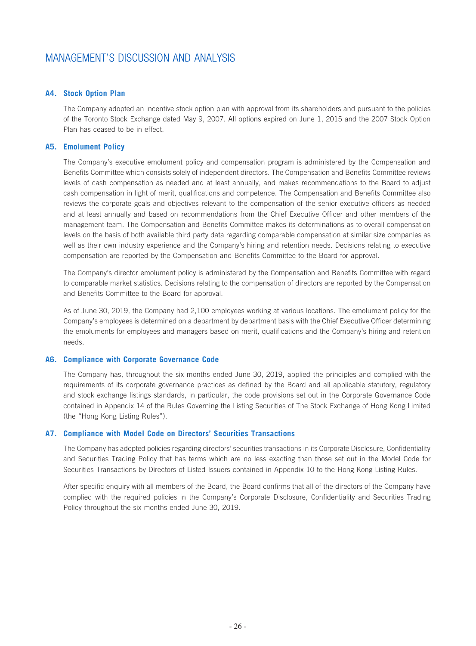### **A4. Stock Option Plan**

The Company adopted an incentive stock option plan with approval from its shareholders and pursuant to the policies of the Toronto Stock Exchange dated May 9, 2007. All options expired on June 1, 2015 and the 2007 Stock Option Plan has ceased to be in effect.

### **A5. Emolument Policy**

The Company's executive emolument policy and compensation program is administered by the Compensation and Benefits Committee which consists solely of independent directors. The Compensation and Benefits Committee reviews levels of cash compensation as needed and at least annually, and makes recommendations to the Board to adjust cash compensation in light of merit, qualifications and competence. The Compensation and Benefits Committee also reviews the corporate goals and objectives relevant to the compensation of the senior executive officers as needed and at least annually and based on recommendations from the Chief Executive Officer and other members of the management team. The Compensation and Benefits Committee makes its determinations as to overall compensation levels on the basis of both available third party data regarding comparable compensation at similar size companies as well as their own industry experience and the Company's hiring and retention needs. Decisions relating to executive compensation are reported by the Compensation and Benefits Committee to the Board for approval.

The Company's director emolument policy is administered by the Compensation and Benefits Committee with regard to comparable market statistics. Decisions relating to the compensation of directors are reported by the Compensation and Benefits Committee to the Board for approval.

As of June 30, 2019, the Company had 2,100 employees working at various locations. The emolument policy for the Company's employees is determined on a department by department basis with the Chief Executive Officer determining the emoluments for employees and managers based on merit, qualifications and the Company's hiring and retention needs.

### **A6. Compliance with Corporate Governance Code**

The Company has, throughout the six months ended June 30, 2019, applied the principles and complied with the requirements of its corporate governance practices as defined by the Board and all applicable statutory, regulatory and stock exchange listings standards, in particular, the code provisions set out in the Corporate Governance Code contained in Appendix 14 of the Rules Governing the Listing Securities of The Stock Exchange of Hong Kong Limited (the "Hong Kong Listing Rules").

### **A7. Compliance with Model Code on Directors' Securities Transactions**

The Company has adopted policies regarding directors' securities transactions in its Corporate Disclosure, Confidentiality and Securities Trading Policy that has terms which are no less exacting than those set out in the Model Code for Securities Transactions by Directors of Listed Issuers contained in Appendix 10 to the Hong Kong Listing Rules.

After specific enquiry with all members of the Board, the Board confirms that all of the directors of the Company have complied with the required policies in the Company's Corporate Disclosure, Confidentiality and Securities Trading Policy throughout the six months ended June 30, 2019.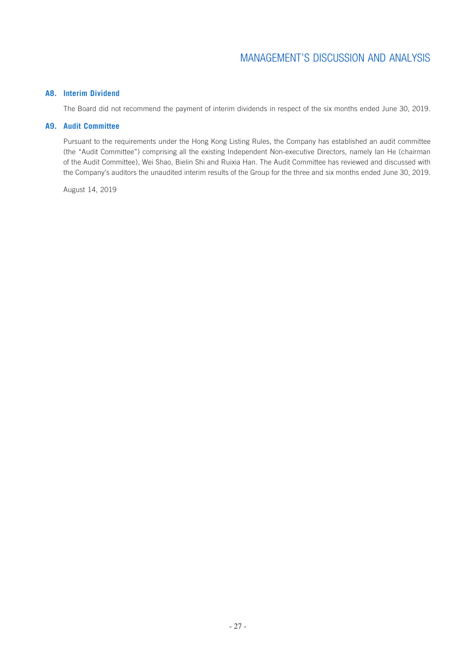### **A8. Interim Dividend**

The Board did not recommend the payment of interim dividends in respect of the six months ended June 30, 2019.

### **A9. Audit Committee**

Pursuant to the requirements under the Hong Kong Listing Rules, the Company has established an audit committee (the "Audit Committee") comprising all the existing Independent Non-executive Directors, namely Ian He (chairman of the Audit Committee), Wei Shao, Bielin Shi and Ruixia Han. The Audit Committee has reviewed and discussed with the Company's auditors the unaudited interim results of the Group for the three and six months ended June 30, 2019.

August 14, 2019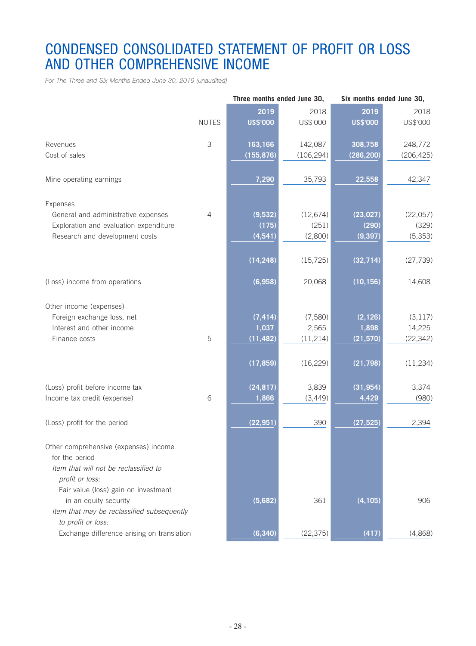# CONDENSED CONSOLIDATED STATEMENT OF PROFIT OR LOSS AND OTHER COMPREHENSIVE INCOME

*For The Three and Six Months Ended June 30, 2019 (unaudited)*

|                                                                     |                | Three months ended June 30, |            |                 | Six months ended June 30, |  |  |
|---------------------------------------------------------------------|----------------|-----------------------------|------------|-----------------|---------------------------|--|--|
|                                                                     |                | 2019                        | 2018       | 2019            | 2018                      |  |  |
|                                                                     | <b>NOTES</b>   | <b>US\$'000</b>             | US\$'000   | <b>US\$'000</b> | US\$'000                  |  |  |
|                                                                     |                |                             |            |                 |                           |  |  |
| Revenues                                                            | 3              | 163,166                     | 142,087    | 308,758         | 248,772                   |  |  |
| Cost of sales                                                       |                | (155, 876)                  | (106, 294) | (286, 200)      | (206, 425)                |  |  |
| Mine operating earnings                                             |                | 7,290                       | 35,793     | 22,558          | 42,347                    |  |  |
| Expenses                                                            |                |                             |            |                 |                           |  |  |
| General and administrative expenses                                 | $\overline{4}$ | (9,532)                     | (12, 674)  | (23, 027)       | (22,057)                  |  |  |
| Exploration and evaluation expenditure                              |                | (175)                       | (251)      | (290)           | (329)                     |  |  |
| Research and development costs                                      |                | (4, 541)                    | (2,800)    | (9, 397)        | (5, 353)                  |  |  |
|                                                                     |                |                             |            |                 |                           |  |  |
|                                                                     |                | (14, 248)                   | (15, 725)  | (32, 714)       | (27, 739)                 |  |  |
| (Loss) income from operations                                       |                | (6,958)                     | 20,068     | (10, 156)       | 14,608                    |  |  |
| Other income (expenses)                                             |                |                             |            |                 |                           |  |  |
| Foreign exchange loss, net                                          |                | (7, 414)                    | (7,580)    | (2, 126)        | (3, 117)                  |  |  |
| Interest and other income                                           |                | 1,037                       | 2,565      | 1,898           | 14,225                    |  |  |
| Finance costs                                                       | 5              | (11, 482)                   | (11, 214)  | (21, 570)       | (22, 342)                 |  |  |
|                                                                     |                |                             |            |                 |                           |  |  |
|                                                                     |                | (17, 859)                   | (16, 229)  | (21, 798)       | (11, 234)                 |  |  |
|                                                                     |                |                             |            |                 |                           |  |  |
| (Loss) profit before income tax                                     |                | (24, 817)                   | 3,839      | (31, 954)       | 3,374                     |  |  |
| Income tax credit (expense)                                         | 6              | 1,866                       | (3,449)    | 4,429           | (980)                     |  |  |
|                                                                     |                |                             |            |                 |                           |  |  |
| (Loss) profit for the period                                        |                | (22, 951)                   | 390        | (27, 525)       | 2,394                     |  |  |
| Other comprehensive (expenses) income                               |                |                             |            |                 |                           |  |  |
| for the period                                                      |                |                             |            |                 |                           |  |  |
| Item that will not be reclassified to                               |                |                             |            |                 |                           |  |  |
| profit or loss:                                                     |                |                             |            |                 |                           |  |  |
| Fair value (loss) gain on investment                                |                |                             |            | (4, 105)        | 906                       |  |  |
| in an equity security<br>Item that may be reclassified subsequently |                | (5,682)                     | 361        |                 |                           |  |  |
| to profit or loss:                                                  |                |                             |            |                 |                           |  |  |
|                                                                     |                |                             |            |                 | (4,868)                   |  |  |
| Exchange difference arising on translation                          |                | (6, 340)                    | (22, 375)  | (417)           |                           |  |  |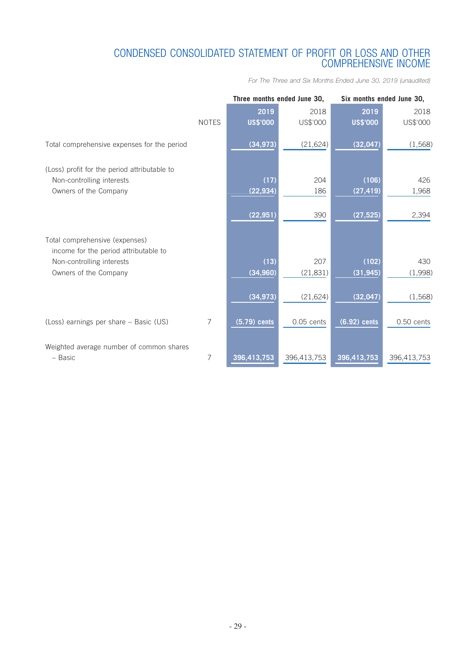### CONDENSED CONSOLIDATED STATEMENT OF PROFIT OR LOSS AND OTHER COMPREHENSIVE INCOME

*For The Three and Six Months Ended June 30, 2019 (unaudited)*

|                                                                    |              | Three months ended June 30, |              |                 | Six months ended June 30, |  |  |  |
|--------------------------------------------------------------------|--------------|-----------------------------|--------------|-----------------|---------------------------|--|--|--|
|                                                                    |              | 2019                        | 2018         | 2019            | 2018                      |  |  |  |
|                                                                    | <b>NOTES</b> | <b>US\$'000</b>             | US\$'000     | <b>US\$'000</b> | US\$'000                  |  |  |  |
| Total comprehensive expenses for the period                        |              | (34, 973)                   | (21, 624)    | (32, 047)       | (1,568)                   |  |  |  |
| (Loss) profit for the period attributable to                       |              |                             |              |                 |                           |  |  |  |
| Non-controlling interests                                          |              | (17)                        | 204          | (106)           | 426                       |  |  |  |
| Owners of the Company                                              |              | (22, 934)                   | 186          | (27, 419)       | 1,968                     |  |  |  |
|                                                                    |              | (22, 951)                   | 390          | (27, 525)       | 2,394                     |  |  |  |
| Total comprehensive (expenses)                                     |              |                             |              |                 |                           |  |  |  |
| income for the period attributable to<br>Non-controlling interests |              | (13)                        | 207          | (102)           | 430                       |  |  |  |
| Owners of the Company                                              |              | (34, 960)                   | (21, 831)    | (31, 945)       | (1,998)                   |  |  |  |
|                                                                    |              |                             |              |                 |                           |  |  |  |
|                                                                    |              | (34, 973)                   | (21, 624)    | (32, 047)       | (1,568)                   |  |  |  |
| (Loss) earnings per share - Basic (US)                             | 7            | $(5.79)$ cents              | $0.05$ cents | $(6.92)$ cents  | 0.50 cents                |  |  |  |
| Weighted average number of common shares<br>- Basic                | 7            | 396,413,753                 | 396,413,753  | 396,413,753     | 396,413,753               |  |  |  |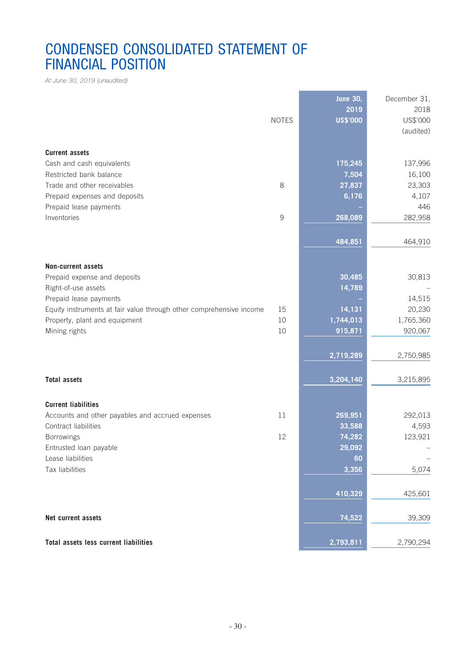# CONDENSED CONSOLIDATED STATEMENT OF FINANCIAL POSITION

*At June 30, 2019 (unaudited)*

|                                                                     |              | <b>June 30,</b> | December 31, |
|---------------------------------------------------------------------|--------------|-----------------|--------------|
|                                                                     |              | 2019            | 2018         |
|                                                                     | <b>NOTES</b> | <b>US\$'000</b> | US\$'000     |
|                                                                     |              |                 | (audited)    |
| <b>Current assets</b>                                               |              |                 |              |
| Cash and cash equivalents                                           |              | 175,245         | 137,996      |
| Restricted bank balance                                             |              | 7,504           | 16,100       |
| Trade and other receivables                                         | 8            | 27,837          | 23,303       |
| Prepaid expenses and deposits                                       |              | 6,176           | 4,107        |
| Prepaid lease payments                                              |              |                 | 446          |
| Inventories                                                         | 9            | 268,089         | 282,958      |
|                                                                     |              |                 |              |
|                                                                     |              | 484,851         | 464,910      |
|                                                                     |              |                 |              |
| <b>Non-current assets</b>                                           |              |                 |              |
| Prepaid expense and deposits                                        |              | 30,485          | 30,813       |
| Right-of-use assets                                                 |              | 14,789          |              |
| Prepaid lease payments                                              |              |                 | 14,515       |
| Equity instruments at fair value through other comprehensive income | 15           | 14,131          | 20,230       |
| Property, plant and equipment                                       | $10$         | 1,744,013       | 1,765,360    |
| Mining rights                                                       | 10           | 915,871         | 920,067      |
|                                                                     |              | 2,719,289       | 2,750,985    |
|                                                                     |              |                 |              |
| <b>Total assets</b>                                                 |              | 3,204,140       | 3,215,895    |
|                                                                     |              |                 |              |
| <b>Current liabilities</b>                                          |              |                 |              |
| Accounts and other payables and accrued expenses                    | 11           | 269,951         | 292,013      |
| Contract liabilities                                                |              | 33,588          | 4,593        |
| Borrowings                                                          | 12           | 74,282          | 123,921      |
| Entrusted loan payable                                              |              | 29,092          |              |
| Lease liabilities                                                   |              | 60              |              |
| Tax liabilities                                                     |              | 3,356           | 5,074        |
|                                                                     |              |                 |              |
|                                                                     |              | 410,329         | 425,601      |
| Net current assets                                                  |              | 74,522          | 39,309       |
|                                                                     |              |                 |              |
| <b>Total assets less current liabilities</b>                        |              | 2,793,811       | 2,790,294    |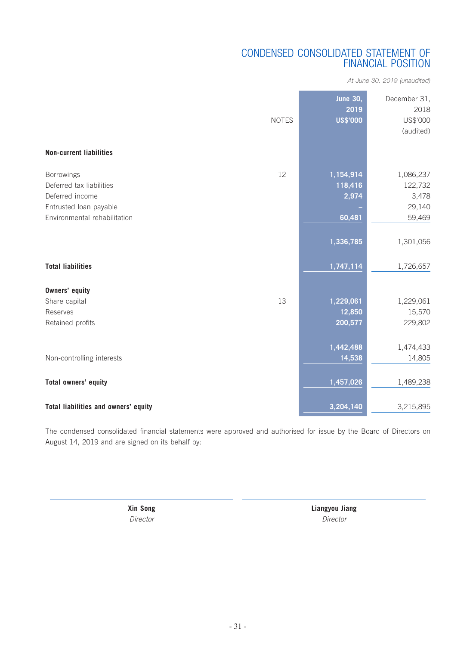### CONDENSED CONSOLIDATED STATEMENT OF FINANCIAL POSITION

*At June 30, 2019 (unaudited)*

| <b>Non-current liabilities</b>       | <b>NOTES</b> | <b>June 30,</b><br>2019<br><b>US\$'000</b> | December 31,<br>2018<br>US\$'000<br>(audited) |
|--------------------------------------|--------------|--------------------------------------------|-----------------------------------------------|
| <b>Borrowings</b>                    | 12           | 1,154,914                                  | 1,086,237                                     |
| Deferred tax liabilities             |              | 118,416                                    | 122,732                                       |
| Deferred income                      |              | 2,974                                      | 3,478                                         |
| Entrusted loan payable               |              |                                            | 29,140                                        |
| Environmental rehabilitation         |              | 60,481                                     | 59,469                                        |
|                                      |              |                                            |                                               |
|                                      |              | 1,336,785                                  | 1,301,056                                     |
|                                      |              |                                            |                                               |
| <b>Total liabilities</b>             |              | 1,747,114                                  | 1,726,657                                     |
|                                      |              |                                            |                                               |
| <b>Owners' equity</b>                |              |                                            |                                               |
| Share capital                        | 13           | 1,229,061                                  | 1,229,061                                     |
| Reserves                             |              | 12,850                                     | 15,570                                        |
| Retained profits                     |              | 200,577                                    | 229,802                                       |
|                                      |              |                                            |                                               |
|                                      |              | 1,442,488                                  | 1,474,433                                     |
| Non-controlling interests            |              | 14,538                                     | 14,805                                        |
|                                      |              |                                            |                                               |
| Total owners' equity                 |              | 1,457,026                                  | 1,489,238                                     |
|                                      |              |                                            |                                               |
| Total liabilities and owners' equity |              | 3,204,140                                  | 3,215,895                                     |

The condensed consolidated financial statements were approved and authorised for issue by the Board of Directors on August 14, 2019 and are signed on its behalf by:

**Xin Song Liangyou Jiang** *Director Director*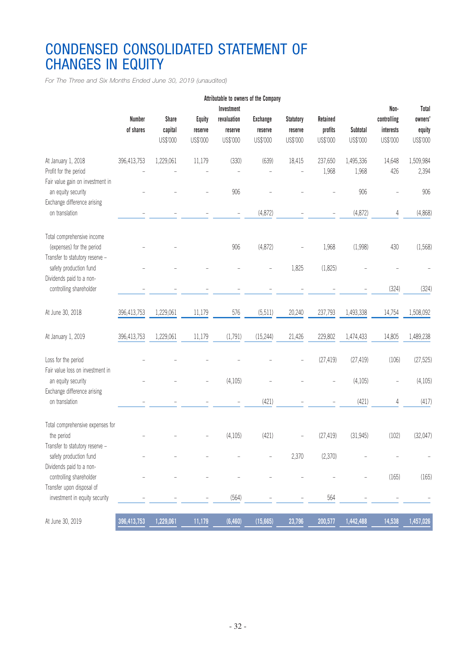# CONDENSED CONSOLIDATED STATEMENT OF CHANGES IN EQUITY

*For The Three and Six Months Ended June 30, 2019 (unaudited)*

| Attributable to owners of the Company                                                                             |                            |                                     |                                      |                                                  |                                        |                                         |                                 |                      |                                              |                                        |
|-------------------------------------------------------------------------------------------------------------------|----------------------------|-------------------------------------|--------------------------------------|--------------------------------------------------|----------------------------------------|-----------------------------------------|---------------------------------|----------------------|----------------------------------------------|----------------------------------------|
|                                                                                                                   | <b>Number</b><br>of shares | <b>Share</b><br>capital<br>US\$'000 | <b>Equity</b><br>reserve<br>US\$'000 | Investment<br>revaluation<br>reserve<br>US\$'000 | <b>Exchange</b><br>reserve<br>US\$'000 | <b>Statutory</b><br>reserve<br>US\$'000 | Retained<br>profits<br>US\$'000 | Subtotal<br>US\$'000 | Non-<br>controlling<br>interests<br>US\$'000 | Total<br>owners'<br>equity<br>US\$'000 |
| At January 1, 2018<br>Profit for the period<br>Fair value gain on investment in                                   | 396,413,753                | 1,229,061                           | 11,179                               | (330)                                            | (639)                                  | 18,415                                  | 237,650<br>1,968                | 1,495,336<br>1,968   | 14,648<br>426                                | 1,509,984<br>2,394                     |
| an equity security<br>Exchange difference arising                                                                 |                            |                                     |                                      | 906                                              |                                        |                                         |                                 | 906                  |                                              | 906                                    |
| on translation                                                                                                    |                            |                                     |                                      |                                                  | (4,872)                                |                                         |                                 | (4,872)              | 4                                            | (4,868)                                |
| Total comprehensive income<br>(expenses) for the period<br>Transfer to statutory reserve -                        |                            |                                     |                                      | 906                                              | (4,872)                                |                                         | 1,968                           | (1,998)              | 430                                          | (1,568)                                |
| safety production fund<br>Dividends paid to a non-                                                                |                            |                                     |                                      |                                                  |                                        | 1,825                                   | (1,825)                         |                      |                                              |                                        |
| controlling shareholder                                                                                           |                            |                                     |                                      |                                                  |                                        |                                         |                                 |                      | (324)                                        | (324)                                  |
| At June 30, 2018                                                                                                  | 396,413,753                | 1,229,061                           | 11,179                               | 576                                              | (5, 511)                               | 20,240                                  | 237,793                         | 1,493,338            | 14,754                                       | 1,508,092                              |
| At January 1, 2019                                                                                                | 396,413,753                | 1,229,061                           | 11,179                               | (1,791)                                          | (15, 244)                              | 21,426                                  | 229,802                         | 1,474,433            | 14,805                                       | 1,489,238                              |
| Loss for the period<br>Fair value loss on investment in                                                           |                            |                                     |                                      |                                                  |                                        |                                         | (27, 419)                       | (27, 419)            | (106)                                        | (27, 525)                              |
| an equity security<br>Exchange difference arising                                                                 |                            |                                     |                                      | (4, 105)                                         |                                        |                                         |                                 | (4, 105)             |                                              | (4,105)                                |
| on translation                                                                                                    |                            |                                     |                                      |                                                  | (421)                                  |                                         |                                 | (421)                | 4                                            | (417)                                  |
| Total comprehensive expenses for<br>the period<br>Transfer to statutory reserve -                                 |                            |                                     |                                      | (4, 105)                                         | (421)                                  |                                         | (27, 419)                       | (31, 945)            | (102)                                        | (32,047)                               |
| safety production fund                                                                                            |                            |                                     |                                      |                                                  |                                        | 2,370                                   | (2,370)                         |                      |                                              |                                        |
| Dividends paid to a non-<br>controlling shareholder<br>Transfer upon disposal of<br>investment in equity security |                            |                                     |                                      |                                                  |                                        |                                         |                                 |                      | (165)                                        | (165)                                  |
|                                                                                                                   |                            |                                     |                                      | (564)                                            |                                        |                                         | 564                             |                      |                                              |                                        |
| At June 30, 2019                                                                                                  | 396,413,753                | 1,229,061                           | 11,179                               | (6,460)                                          | (15,665)                               | 23,796                                  | 200,577                         | 1,442,488            | 14,538                                       | 1,457,026                              |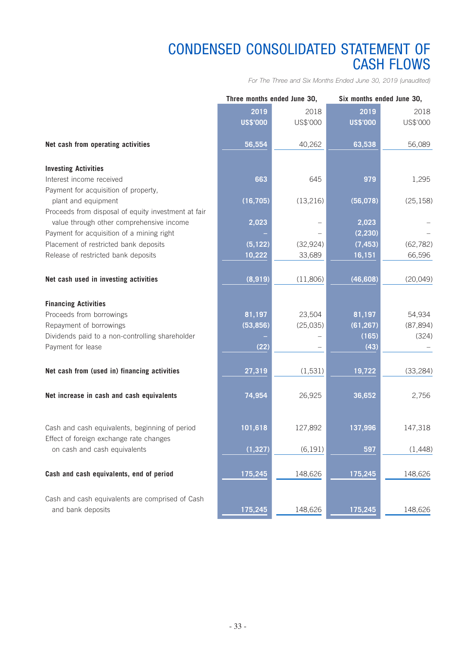# CONDENSED CONSOLIDATED STATEMENT OF CASH FLOWS

*For The Three and Six Months Ended June 30, 2019 (unaudited)*

|                                                                                           | Three months ended June 30, |           |                 | Six months ended June 30, |  |  |
|-------------------------------------------------------------------------------------------|-----------------------------|-----------|-----------------|---------------------------|--|--|
|                                                                                           | 2019                        | 2018      | 2019            | 2018                      |  |  |
|                                                                                           | <b>US\$'000</b>             | US\$'000  | <b>US\$'000</b> | US\$'000                  |  |  |
|                                                                                           |                             |           |                 |                           |  |  |
| Net cash from operating activities                                                        | 56,554                      | 40,262    | 63,538          | 56,089                    |  |  |
|                                                                                           |                             |           |                 |                           |  |  |
| <b>Investing Activities</b>                                                               |                             |           |                 |                           |  |  |
| Interest income received                                                                  | 663                         | 645       | 979             | 1,295                     |  |  |
| Payment for acquisition of property,                                                      |                             |           |                 |                           |  |  |
| plant and equipment                                                                       | (16, 705)                   | (13, 216) | (56, 078)       | (25, 158)                 |  |  |
| Proceeds from disposal of equity investment at fair                                       |                             |           |                 |                           |  |  |
| value through other comprehensive income                                                  | 2,023                       |           | 2,023           |                           |  |  |
| Payment for acquisition of a mining right                                                 |                             |           | (2, 230)        |                           |  |  |
| Placement of restricted bank deposits                                                     | (5, 122)                    | (32, 924) | (7, 453)        | (62, 782)                 |  |  |
| Release of restricted bank deposits                                                       | 10,222                      | 33,689    | 16,151          | 66,596                    |  |  |
|                                                                                           |                             |           |                 |                           |  |  |
| Net cash used in investing activities                                                     | (8,919)                     | (11,806)  | (46, 608)       | (20, 049)                 |  |  |
|                                                                                           |                             |           |                 |                           |  |  |
| <b>Financing Activities</b>                                                               |                             |           |                 |                           |  |  |
| Proceeds from borrowings                                                                  | 81,197                      | 23,504    | 81,197          | 54,934                    |  |  |
| Repayment of borrowings                                                                   | (53, 856)                   | (25, 035) | (61, 267)       | (87, 894)                 |  |  |
| Dividends paid to a non-controlling shareholder                                           |                             |           | (165)           | (324)                     |  |  |
| Payment for lease                                                                         | (22)                        |           | (43)            |                           |  |  |
|                                                                                           |                             |           |                 |                           |  |  |
| Net cash from (used in) financing activities                                              | 27,319                      | (1,531)   | 19,722          | (33, 284)                 |  |  |
|                                                                                           |                             |           |                 |                           |  |  |
|                                                                                           |                             |           |                 |                           |  |  |
| Net increase in cash and cash equivalents                                                 | 74,954                      | 26,925    | 36,652          | 2,756                     |  |  |
|                                                                                           |                             |           |                 |                           |  |  |
|                                                                                           | 101,618                     |           |                 |                           |  |  |
| Cash and cash equivalents, beginning of period<br>Effect of foreign exchange rate changes |                             | 127,892   | 137,996         | 147,318                   |  |  |
| on cash and cash equivalents                                                              |                             | (6, 191)  | 597             | (1,448)                   |  |  |
|                                                                                           | (1, 327)                    |           |                 |                           |  |  |
|                                                                                           |                             |           |                 |                           |  |  |
| Cash and cash equivalents, end of period                                                  | 175,245                     | 148,626   | 175,245         | 148,626                   |  |  |
|                                                                                           |                             |           |                 |                           |  |  |
| Cash and cash equivalents are comprised of Cash                                           |                             |           |                 |                           |  |  |
| and bank deposits                                                                         | 175,245                     | 148,626   | 175,245         | 148,626                   |  |  |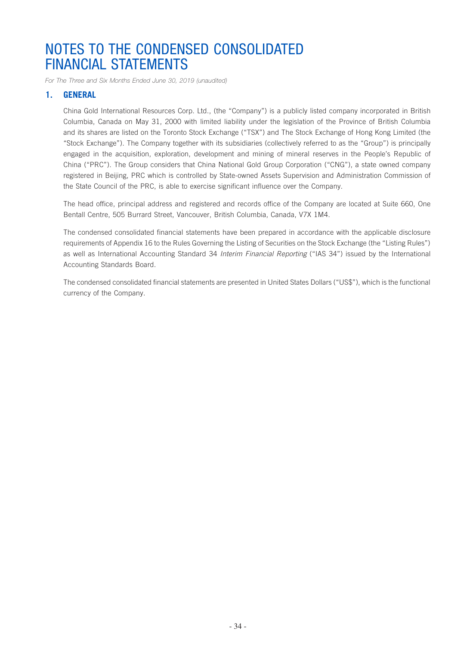*For The Three and Six Months Ended June 30, 2019 (unaudited)*

### **1. GENERAL**

China Gold International Resources Corp. Ltd., (the "Company") is a publicly listed company incorporated in British Columbia, Canada on May 31, 2000 with limited liability under the legislation of the Province of British Columbia and its shares are listed on the Toronto Stock Exchange ("TSX") and The Stock Exchange of Hong Kong Limited (the "Stock Exchange"). The Company together with its subsidiaries (collectively referred to as the "Group") is principally engaged in the acquisition, exploration, development and mining of mineral reserves in the People's Republic of China ("PRC"). The Group considers that China National Gold Group Corporation ("CNG"), a state owned company registered in Beijing, PRC which is controlled by State-owned Assets Supervision and Administration Commission of the State Council of the PRC, is able to exercise significant influence over the Company.

The head office, principal address and registered and records office of the Company are located at Suite 660, One Bentall Centre, 505 Burrard Street, Vancouver, British Columbia, Canada, V7X 1M4.

The condensed consolidated financial statements have been prepared in accordance with the applicable disclosure requirements of Appendix 16 to the Rules Governing the Listing of Securities on the Stock Exchange (the "Listing Rules") as well as International Accounting Standard 34 *Interim Financial Reporting* ("IAS 34") issued by the International Accounting Standards Board.

The condensed consolidated financial statements are presented in United States Dollars ("US\$"), which is the functional currency of the Company.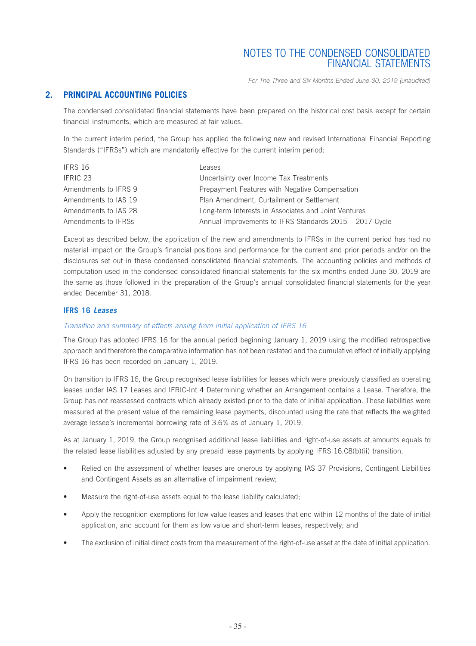*For The Three and Six Months Ended June 30, 2019 (unaudited)*

### **2. PRINCIPAL ACCOUNTING POLICIES**

The condensed consolidated financial statements have been prepared on the historical cost basis except for certain financial instruments, which are measured at fair values.

In the current interim period, the Group has applied the following new and revised International Financial Reporting Standards ("IFRSs") which are mandatorily effective for the current interim period:

| IFRS 16              | Leases                                                  |
|----------------------|---------------------------------------------------------|
| IFRIC 23             | Uncertainty over Income Tax Treatments                  |
| Amendments to IFRS 9 | Prepayment Features with Negative Compensation          |
| Amendments to IAS 19 | Plan Amendment, Curtailment or Settlement               |
| Amendments to IAS 28 | Long-term Interests in Associates and Joint Ventures    |
| Amendments to IFRSs  | Annual Improvements to IFRS Standards 2015 - 2017 Cycle |

Except as described below, the application of the new and amendments to IFRSs in the current period has had no material impact on the Group's financial positions and performance for the current and prior periods and/or on the disclosures set out in these condensed consolidated financial statements. The accounting policies and methods of computation used in the condensed consolidated financial statements for the six months ended June 30, 2019 are the same as those followed in the preparation of the Group's annual consolidated financial statements for the year ended December 31, 2018.

#### **IFRS 16** *Leases*

#### *Transition and summary of effects arising from initial application of IFRS 16*

The Group has adopted IFRS 16 for the annual period beginning January 1, 2019 using the modified retrospective approach and therefore the comparative information has not been restated and the cumulative effect of initially applying IFRS 16 has been recorded on January 1, 2019.

On transition to IFRS 16, the Group recognised lease liabilities for leases which were previously classified as operating leases under IAS 17 Leases and IFRIC-Int 4 Determining whether an Arrangement contains a Lease. Therefore, the Group has not reassessed contracts which already existed prior to the date of initial application. These liabilities were measured at the present value of the remaining lease payments, discounted using the rate that reflects the weighted average lessee's incremental borrowing rate of 3.6% as of January 1, 2019.

As at January 1, 2019, the Group recognised additional lease liabilities and right-of-use assets at amounts equals to the related lease liabilities adjusted by any prepaid lease payments by applying IFRS 16.C8(b)(ii) transition.

- Relied on the assessment of whether leases are onerous by applying IAS 37 Provisions, Contingent Liabilities and Contingent Assets as an alternative of impairment review;
- Measure the right-of-use assets equal to the lease liability calculated;
- Apply the recognition exemptions for low value leases and leases that end within 12 months of the date of initial application, and account for them as low value and short-term leases, respectively; and
- The exclusion of initial direct costs from the measurement of the right-of-use asset at the date of initial application.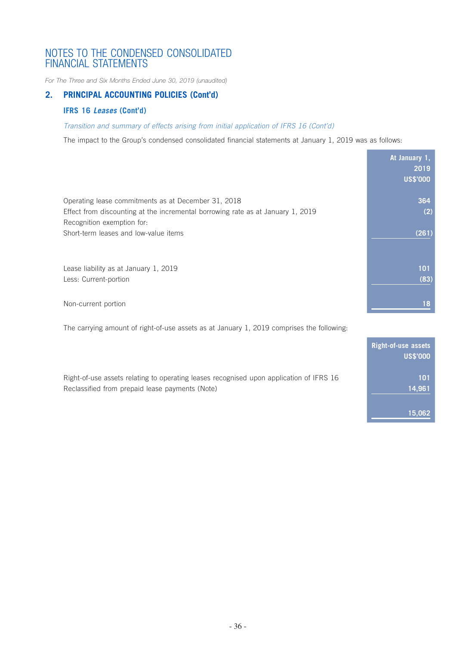*For The Three and Six Months Ended June 30, 2019 (unaudited)*

### **2. PRINCIPAL ACCOUNTING POLICIES (Cont'd)**

### **IFRS 16** *Leases* **(Cont'd)**

### *Transition and summary of effects arising from initial application of IFRS 16 (Cont'd)*

The impact to the Group's condensed consolidated financial statements at January 1, 2019 was as follows:

|                                                                                                               | At January 1,<br>2019 |
|---------------------------------------------------------------------------------------------------------------|-----------------------|
|                                                                                                               | <b>US\$'000</b>       |
| Operating lease commitments as at December 31, 2018                                                           | 364                   |
| Effect from discounting at the incremental borrowing rate as at January 1, 2019<br>Recognition exemption for: | (2)                   |
| Short-term leases and low-value items                                                                         | (261)                 |
| Lease liability as at January 1, 2019                                                                         | 101                   |
| Less: Current-portion                                                                                         | (83)                  |
| Non-current portion                                                                                           | 18                    |

The carrying amount of right-of-use assets as at January 1, 2019 comprises the following:

|                                                                                                                                            | Right-of-use assets<br><b>US\$'000</b> |
|--------------------------------------------------------------------------------------------------------------------------------------------|----------------------------------------|
| Right-of-use assets relating to operating leases recognised upon application of IFRS 16<br>Reclassified from prepaid lease payments (Note) | 101<br>14,961                          |
|                                                                                                                                            | 15,062                                 |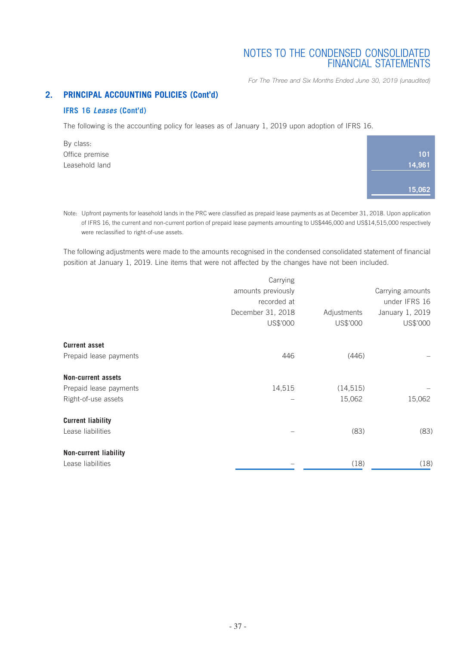*For The Three and Six Months Ended June 30, 2019 (unaudited)*

### **2. PRINCIPAL ACCOUNTING POLICIES (Cont'd)**

### **IFRS 16** *Leases* **(Cont'd)**

The following is the accounting policy for leases as of January 1, 2019 upon adoption of IFRS 16.

By class: Office premise Leasehold land

| 101    |
|--------|
| 14,961 |
|        |
| 15,062 |
|        |

Note: Upfront payments for leasehold lands in the PRC were classified as prepaid lease payments as at December 31, 2018. Upon application of IFRS 16, the current and non-current portion of prepaid lease payments amounting to US\$446,000 and US\$14,515,000 respectively were reclassified to right-of-use assets.

The following adjustments were made to the amounts recognised in the condensed consolidated statement of financial position at January 1, 2019. Line items that were not affected by the changes have not been included.

|                           | Carrying           |             |                  |
|---------------------------|--------------------|-------------|------------------|
|                           | amounts previously |             | Carrying amounts |
|                           | recorded at        |             | under IFRS 16    |
|                           | December 31, 2018  | Adjustments | January 1, 2019  |
|                           | US\$'000           | US\$'000    | US\$'000         |
| <b>Current asset</b>      |                    |             |                  |
| Prepaid lease payments    | 446                | (446)       |                  |
| <b>Non-current assets</b> |                    |             |                  |
| Prepaid lease payments    | 14,515             | (14, 515)   |                  |
| Right-of-use assets       |                    | 15,062      | 15,062           |
| <b>Current liability</b>  |                    |             |                  |
| Lease liabilities         |                    | (83)        | (83)             |
| Non-current liability     |                    |             |                  |
| Lease liabilities         |                    | (18)        | (18)             |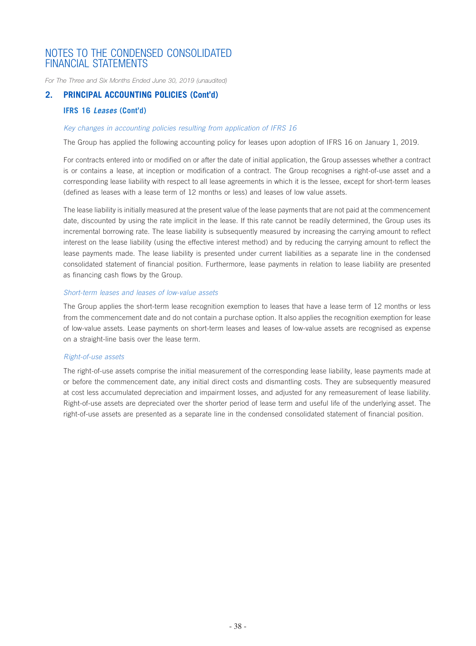*For The Three and Six Months Ended June 30, 2019 (unaudited)*

### **2. PRINCIPAL ACCOUNTING POLICIES (Cont'd)**

### **IFRS 16** *Leases* **(Cont'd)**

#### *Key changes in accounting policies resulting from application of IFRS 16*

The Group has applied the following accounting policy for leases upon adoption of IFRS 16 on January 1, 2019.

For contracts entered into or modified on or after the date of initial application, the Group assesses whether a contract is or contains a lease, at inception or modification of a contract. The Group recognises a right-of-use asset and a corresponding lease liability with respect to all lease agreements in which it is the lessee, except for short-term leases (defined as leases with a lease term of 12 months or less) and leases of low value assets.

The lease liability is initially measured at the present value of the lease payments that are not paid at the commencement date, discounted by using the rate implicit in the lease. If this rate cannot be readily determined, the Group uses its incremental borrowing rate. The lease liability is subsequently measured by increasing the carrying amount to reflect interest on the lease liability (using the effective interest method) and by reducing the carrying amount to reflect the lease payments made. The lease liability is presented under current liabilities as a separate line in the condensed consolidated statement of financial position. Furthermore, lease payments in relation to lease liability are presented as financing cash flows by the Group.

#### *Short-term leases and leases of low-value assets*

The Group applies the short-term lease recognition exemption to leases that have a lease term of 12 months or less from the commencement date and do not contain a purchase option. It also applies the recognition exemption for lease of low-value assets. Lease payments on short-term leases and leases of low-value assets are recognised as expense on a straight-line basis over the lease term.

#### *Right-of-use assets*

The right-of-use assets comprise the initial measurement of the corresponding lease liability, lease payments made at or before the commencement date, any initial direct costs and dismantling costs. They are subsequently measured at cost less accumulated depreciation and impairment losses, and adjusted for any remeasurement of lease liability. Right-of-use assets are depreciated over the shorter period of lease term and useful life of the underlying asset. The right-of-use assets are presented as a separate line in the condensed consolidated statement of financial position.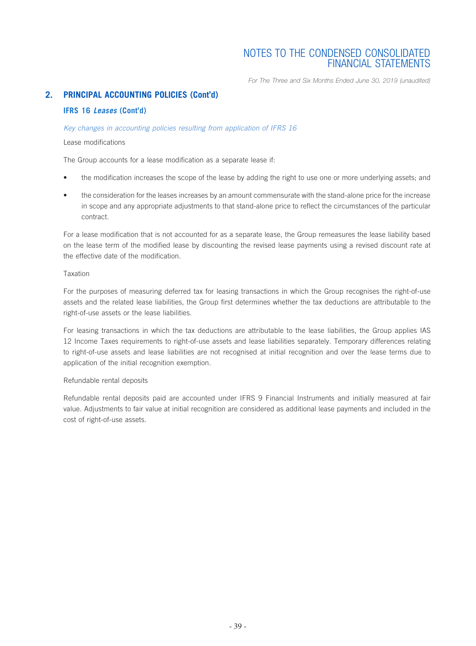*For The Three and Six Months Ended June 30, 2019 (unaudited)*

### **2. PRINCIPAL ACCOUNTING POLICIES (Cont'd)**

### **IFRS 16** *Leases* **(Cont'd)**

#### *Key changes in accounting policies resulting from application of IFRS 16*

#### Lease modifications

The Group accounts for a lease modification as a separate lease if:

- the modification increases the scope of the lease by adding the right to use one or more underlying assets; and
- the consideration for the leases increases by an amount commensurate with the stand-alone price for the increase in scope and any appropriate adjustments to that stand-alone price to reflect the circumstances of the particular contract.

For a lease modification that is not accounted for as a separate lease, the Group remeasures the lease liability based on the lease term of the modified lease by discounting the revised lease payments using a revised discount rate at the effective date of the modification.

#### Taxation

For the purposes of measuring deferred tax for leasing transactions in which the Group recognises the right-of-use assets and the related lease liabilities, the Group first determines whether the tax deductions are attributable to the right-of-use assets or the lease liabilities.

For leasing transactions in which the tax deductions are attributable to the lease liabilities, the Group applies IAS 12 Income Taxes requirements to right-of-use assets and lease liabilities separately. Temporary differences relating to right-of-use assets and lease liabilities are not recognised at initial recognition and over the lease terms due to application of the initial recognition exemption.

#### Refundable rental deposits

Refundable rental deposits paid are accounted under IFRS 9 Financial Instruments and initially measured at fair value. Adjustments to fair value at initial recognition are considered as additional lease payments and included in the cost of right-of-use assets.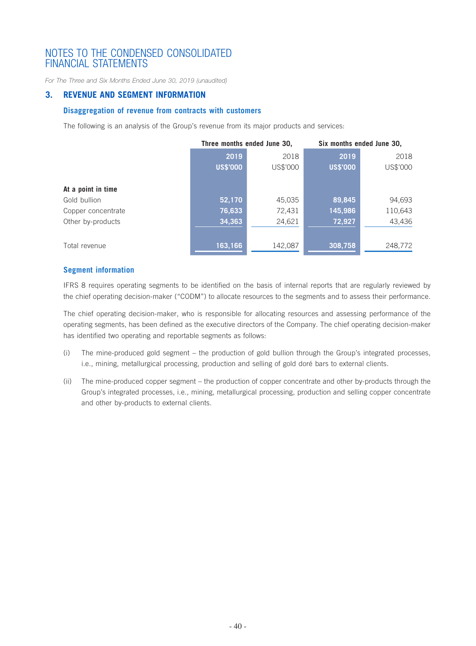*For The Three and Six Months Ended June 30, 2019 (unaudited)*

### **3. REVENUE AND SEGMENT INFORMATION**

### **Disaggregation of revenue from contracts with customers**

The following is an analysis of the Group's revenue from its major products and services:

|                    | Three months ended June 30, |          | Six months ended June 30, |          |
|--------------------|-----------------------------|----------|---------------------------|----------|
|                    | 2019                        | 2018     | 2019                      | 2018     |
|                    | <b>US\$'000</b>             | US\$'000 | <b>US\$'000</b>           | US\$'000 |
|                    |                             |          |                           |          |
| At a point in time |                             |          |                           |          |
| Gold bullion       | 52,170                      | 45,035   | 89,845                    | 94,693   |
| Copper concentrate | 76,633                      | 72,431   | 145,986                   | 110,643  |
| Other by-products  | 34,363                      | 24,621   | 72,927                    | 43,436   |
|                    |                             |          |                           |          |
| Total revenue      | 163,166                     | 142,087  | 308,758                   | 248,772  |

### **Segment information**

IFRS 8 requires operating segments to be identified on the basis of internal reports that are regularly reviewed by the chief operating decision-maker ("CODM") to allocate resources to the segments and to assess their performance.

The chief operating decision-maker, who is responsible for allocating resources and assessing performance of the operating segments, has been defined as the executive directors of the Company. The chief operating decision-maker has identified two operating and reportable segments as follows:

- (i) The mine-produced gold segment the production of gold bullion through the Group's integrated processes, i.e., mining, metallurgical processing, production and selling of gold doré bars to external clients.
- (ii) The mine-produced copper segment the production of copper concentrate and other by-products through the Group's integrated processes, i.e., mining, metallurgical processing, production and selling copper concentrate and other by-products to external clients.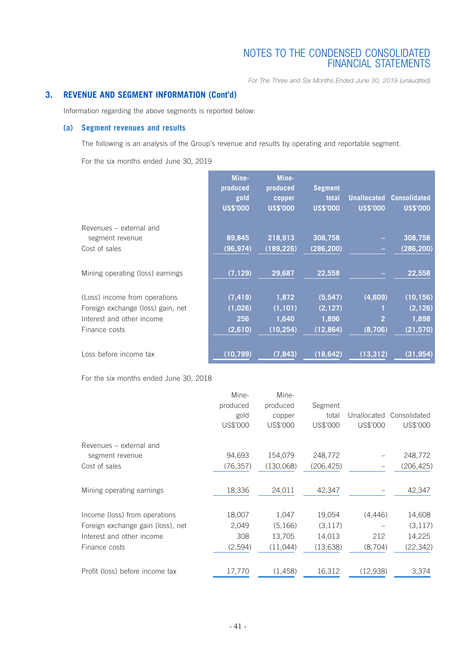*For The Three and Six Months Ended June 30, 2019 (unaudited)*

### **3. REVENUE AND SEGMENT INFORMATION (Cont'd)**

Information regarding the above segments is reported below:

### **(a) Segment revenues and results**

The following is an analysis of the Group's revenue and results by operating and reportable segment.

For the six months ended June 30, 2019

|                                   | Mine-<br>produced<br>gold<br><b>US\$'000</b> | Mine-<br>produced<br>copper<br><b>US\$'000</b> | <b>Segment</b><br>total<br><b>US\$'000</b> | <b>Unallocated</b><br><b>US\$'000</b> | <b>Consolidated</b><br><b>US\$'000</b> |
|-----------------------------------|----------------------------------------------|------------------------------------------------|--------------------------------------------|---------------------------------------|----------------------------------------|
| Revenues – external and           |                                              |                                                |                                            |                                       |                                        |
| segment revenue                   | 89,845                                       | 218,913                                        | 308,758                                    |                                       | 308,758                                |
| Cost of sales                     | (96, 974)                                    | (189, 226)                                     | (286, 200)                                 | -                                     | (286, 200)                             |
| Mining operating (loss) earnings  | (7, 129)                                     | 29,687                                         | 22,558                                     |                                       | 22,558                                 |
| (Loss) income from operations     | (7, 419)                                     | 1,872                                          | (5,547)                                    | (4,609)                               | (10, 156)                              |
| Foreign exchange (loss) gain, net | (1,026)                                      | (1, 101)                                       | (2, 127)                                   |                                       | (2, 126)                               |
| Interest and other income         | 256                                          | 1,640                                          | 1,896                                      | $\overline{2}$                        | 1,898                                  |
| Finance costs                     | (2,610)                                      | (10, 254)                                      | (12, 864)                                  | (8,706)                               | (21, 570)                              |
| Loss before income tax            | (10, 799)                                    | (7, 843)                                       | (18, 642)                                  | (13, 312)                             | (31, 954)                              |

For the six months ended June 30, 2018

| produced  | produced  | Segment    |          |                          |
|-----------|-----------|------------|----------|--------------------------|
| gold      | copper    | total      |          | Unallocated Consolidated |
| US\$'000  | US\$'000  | US\$'000   | US\$'000 | US\$'000                 |
|           |           |            |          |                          |
| 94,693    | 154,079   | 248,772    |          | 248,772                  |
| (76, 357) | (130,068) | (206, 425) | -        | (206,425)                |
| 18,336    | 24,011    | 42,347     |          | 42,347                   |
| 18,007    | 1,047     | 19,054     | (4, 446) | 14,608                   |
| 2,049     | (5,166)   | (3, 117)   |          | (3, 117)                 |
| 308       | 13,705    | 14,013     | 212      | 14,225                   |
| (2,594)   | (11,044)  | (13, 638)  | (8,704)  | (22, 342)                |
| 17,770    | (1,458)   | 16,312     | (12,938) | 3,374                    |
|           | Mine-     | Mine-      |          |                          |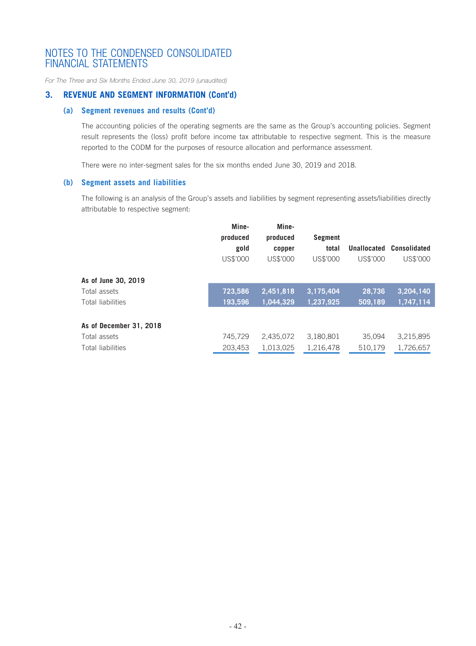*For The Three and Six Months Ended June 30, 2019 (unaudited)*

### **3. REVENUE AND SEGMENT INFORMATION (Cont'd)**

### **(a) Segment revenues and results (Cont'd)**

The accounting policies of the operating segments are the same as the Group's accounting policies. Segment result represents the (loss) profit before income tax attributable to respective segment. This is the measure reported to the CODM for the purposes of resource allocation and performance assessment.

There were no inter-segment sales for the six months ended June 30, 2019 and 2018.

#### **(b) Segment assets and liabilities**

The following is an analysis of the Group's assets and liabilities by segment representing assets/liabilities directly attributable to respective segment:

|                                     | Mine-<br>produced<br>gold<br>US\$'000 | Mine-<br>produced<br>copper<br>US\$'000 | <b>Segment</b><br>total<br>US\$'000 | Unallocated<br>US\$'000 | Consolidated<br>US\$'000 |
|-------------------------------------|---------------------------------------|-----------------------------------------|-------------------------------------|-------------------------|--------------------------|
| As of June 30, 2019<br>Total assets | 723.586                               | 2,451,818                               | 3,175,404                           | 28.736                  | 3,204,140                |
| Total liabilities                   | 193,596                               | 1,044,329                               | 1,237,925                           | 509,189                 | 1,747,114                |
| As of December 31, 2018             |                                       |                                         |                                     |                         |                          |
| Total assets                        | 745,729                               | 2,435,072                               | 3,180,801                           | 35,094                  | 3,215,895                |
| Total liabilities                   | 203,453                               | 1,013,025                               | 1,216,478                           | 510,179                 | 1,726,657                |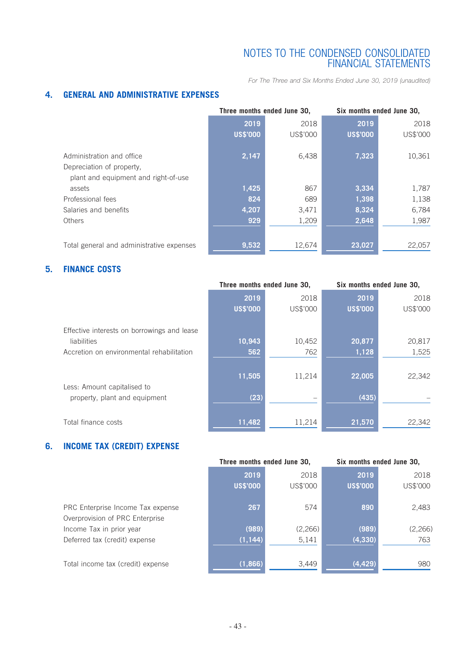*For The Three and Six Months Ended June 30, 2019 (unaudited)*

### **4. GENERAL AND ADMINISTRATIVE EXPENSES**

|                                           |                 | Three months ended June 30, | Six months ended June 30, |          |  |
|-------------------------------------------|-----------------|-----------------------------|---------------------------|----------|--|
|                                           | 2019<br>2018    |                             | 2019                      | 2018     |  |
|                                           | <b>US\$'000</b> | US\$'000                    | <b>US\$'000</b>           | US\$'000 |  |
| Administration and office                 | 2,147           | 6,438                       | 7,323                     | 10,361   |  |
| Depreciation of property,                 |                 |                             |                           |          |  |
| plant and equipment and right-of-use      |                 |                             |                           |          |  |
| assets                                    | 1,425           | 867                         | 3,334                     | 1,787    |  |
| Professional fees                         | 824             | 689                         | 1,398                     | 1,138    |  |
| Salaries and benefits                     | 4,207           | 3,471                       | 8,324                     | 6,784    |  |
| <b>Others</b>                             | 929             | 1,209                       | 2,648                     | 1,987    |  |
|                                           |                 |                             |                           |          |  |
| Total general and administrative expenses | 9,532           | 12,674                      | 23,027                    | 22,057   |  |

### **5. FINANCE COSTS**

|                                             | Three months ended June 30, |          | Six months ended June 30, |          |
|---------------------------------------------|-----------------------------|----------|---------------------------|----------|
|                                             | 2019                        | 2018     | 2019                      | 2018     |
|                                             | <b>US\$'000</b>             | US\$'000 | <b>US\$'000</b>           | US\$'000 |
| Effective interests on borrowings and lease |                             |          |                           |          |
| liabilities                                 | 10,943                      | 10,452   | 20,877                    | 20,817   |
| Accretion on environmental rehabilitation   | 562                         | 762      | 1,128                     | 1,525    |
|                                             |                             |          |                           |          |
| Less: Amount capitalised to                 | 11,505                      | 11,214   | 22,005                    | 22,342   |
| property, plant and equipment               | (23)                        |          | (435)                     |          |
| Total finance costs                         | 11,482                      | 11,214   | 21,570                    | 22,342   |

### **6. INCOME TAX (CREDIT) EXPENSE**

|                                   |                 | Three months ended June 30, | Six months ended June 30, |          |  |
|-----------------------------------|-----------------|-----------------------------|---------------------------|----------|--|
|                                   | 2019<br>2018    |                             | 2019                      | 2018     |  |
|                                   | <b>US\$'000</b> | US\$'000                    | <b>US\$'000</b>           | US\$'000 |  |
|                                   |                 |                             |                           |          |  |
| PRC Enterprise Income Tax expense | 267             | 574                         | 890                       | 2,483    |  |
| Overprovision of PRC Enterprise   |                 |                             |                           |          |  |
| Income Tax in prior year          | (989)           | (2,266)                     | (989)                     | (2, 266) |  |
| Deferred tax (credit) expense     | (1, 144)        | 5,141                       | (4, 330)                  | 763      |  |
|                                   |                 |                             |                           |          |  |
| Total income tax (credit) expense | (1,866)         | 3,449                       | (4, 429)                  | 980      |  |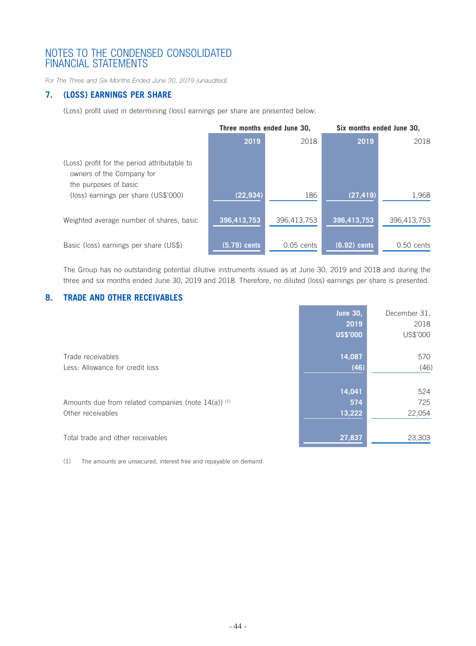*For The Three and Six Months Ended June 30, 2019 (unaudited)*

### **7. (LOSS) EARNINGS PER SHARE**

(Loss) profit used in determining (loss) earnings per share are presented below:

|                                                                                                    | Three months ended June 30, |              | Six months ended June 30, |              |
|----------------------------------------------------------------------------------------------------|-----------------------------|--------------|---------------------------|--------------|
|                                                                                                    | 2019                        | 2018         | 2019                      | 2018         |
| (Loss) profit for the period attributable to<br>owners of the Company for<br>the purposes of basic |                             |              |                           |              |
| (loss) earnings per share (US\$'000)                                                               | (22, 934)                   | 186          | (27, 419)                 | 1,968        |
| Weighted average number of shares, basic                                                           | 396,413,753                 | 396,413,753  | 396,413,753               | 396,413,753  |
| Basic (loss) earnings per share (US\$)                                                             | $(5.79)$ cents              | $0.05$ cents | $(6.92)$ cents            | $0.50$ cents |

The Group has no outstanding potential dilutive instruments issued as at June 30, 2019 and 2018 and during the three and six months ended June 30, 2019 and 2018. Therefore, no diluted (loss) earnings per share is presented.

### **8. TRADE AND OTHER RECEIVABLES**

|                                                     | <b>June 30,</b> | December 31, |
|-----------------------------------------------------|-----------------|--------------|
|                                                     | 2019            | 2018         |
|                                                     | <b>US\$'000</b> | US\$'000     |
| Trade receivables                                   | 14,087          | 570          |
| Less: Allowance for credit loss                     | (46)            | (46)         |
|                                                     |                 |              |
|                                                     | 14,041          | 524          |
| Amounts due from related companies (note 14(a)) (1) | 574             | 725          |
| Other receivables                                   | 13,222          | 22,054       |
|                                                     |                 |              |
| Total trade and other receivables                   | 27,837          | 23,303       |

(1) The amounts are unsecured, interest free and repayable on demand.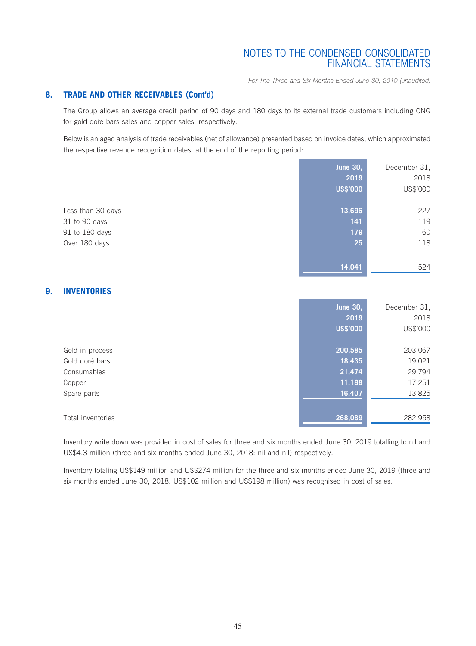*For The Three and Six Months Ended June 30, 2019 (unaudited)*

### **8. TRADE AND OTHER RECEIVABLES (Cont'd)**

The Group allows an average credit period of 90 days and 180 days to its external trade customers including CNG for gold dore bars sales and copper sales, respectively.

Below is an aged analysis of trade receivables (net of allowance) presented based on invoice dates, which approximated the respective revenue recognition dates, at the end of the reporting period:

|                   | <b>June 30,</b> | December 31, |
|-------------------|-----------------|--------------|
|                   | 2019            | 2018         |
|                   | <b>US\$'000</b> | US\$'000     |
|                   |                 |              |
| Less than 30 days | 13,696          | 227          |
| 31 to 90 days     | 141             | 119          |
| 91 to 180 days    | 179             | 60           |
| Over 180 days     | 25              | 118          |
|                   |                 |              |
|                   | 14.041          | 524          |

### **9. INVENTORIES**

|                   | <b>June 30,</b> | December 31, |
|-------------------|-----------------|--------------|
|                   | 2019            | 2018         |
|                   | <b>US\$'000</b> | US\$'000     |
|                   |                 |              |
| Gold in process   | 200,585         | 203,067      |
| Gold doré bars    | 18,435          | 19,021       |
| Consumables       | 21,474          | 29,794       |
| Copper            | 11,188          | 17,251       |
| Spare parts       | 16,407          | 13,825       |
|                   |                 |              |
| Total inventories | 268,089         | 282,958      |

Inventory write down was provided in cost of sales for three and six months ended June 30, 2019 totalling to nil and US\$4.3 million (three and six months ended June 30, 2018: nil and nil) respectively.

Inventory totaling US\$149 million and US\$274 million for the three and six months ended June 30, 2019 (three and six months ended June 30, 2018: US\$102 million and US\$198 million) was recognised in cost of sales.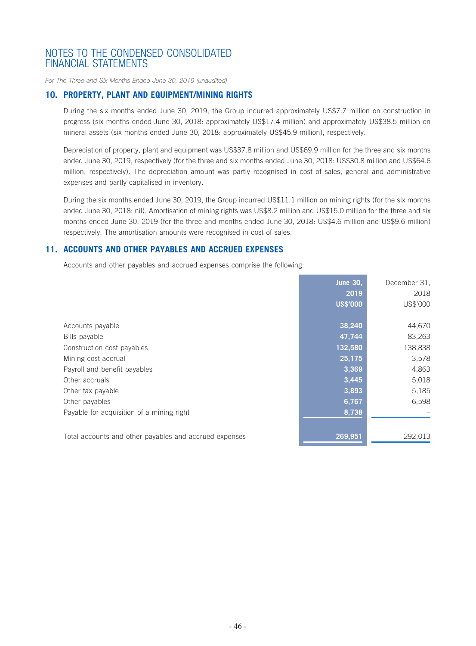*For The Three and Six Months Ended June 30, 2019 (unaudited)*

### **10. PROPERTY, PLANT AND EQUIPMENT/MINING RIGHTS**

During the six months ended June 30, 2019, the Group incurred approximately US\$7.7 million on construction in progress (six months ended June 30, 2018: approximately US\$17.4 million) and approximately US\$38.5 million on mineral assets (six months ended June 30, 2018: approximately US\$45.9 million), respectively.

Depreciation of property, plant and equipment was US\$37.8 million and US\$69.9 million for the three and six months ended June 30, 2019, respectively (for the three and six months ended June 30, 2018: US\$30.8 million and US\$64.6 million, respectively). The depreciation amount was partly recognised in cost of sales, general and administrative expenses and partly capitalised in inventory.

During the six months ended June 30, 2019, the Group incurred US\$11.1 million on mining rights (for the six months ended June 30, 2018: nil). Amortisation of mining rights was US\$8.2 million and US\$15.0 million for the three and six months ended June 30, 2019 (for the three and months ended June 30, 2018: US\$4.6 million and US\$9.6 million) respectively. The amortisation amounts were recognised in cost of sales.

### **11. ACCOUNTS AND OTHER PAYABLES AND ACCRUED EXPENSES**

Accounts and other payables and accrued expenses comprise the following:

|                                                        | <b>June 30,</b> | December 31, |
|--------------------------------------------------------|-----------------|--------------|
|                                                        | 2019            | 2018         |
|                                                        | <b>US\$'000</b> | US\$'000     |
|                                                        |                 |              |
| Accounts payable                                       | 38,240          | 44,670       |
| Bills payable                                          | 47,744          | 83,263       |
| Construction cost payables                             | 132,580         | 138,838      |
| Mining cost accrual                                    | 25,175          | 3,578        |
| Payroll and benefit payables                           | 3,369           | 4,863        |
| Other accruals                                         | 3,445           | 5,018        |
| Other tax payable                                      | 3,893           | 5,185        |
| Other payables                                         | 6,767           | 6,598        |
| Payable for acquisition of a mining right              | 8,738           |              |
|                                                        |                 |              |
| Total accounts and other payables and accrued expenses | 269,951         | 292.013      |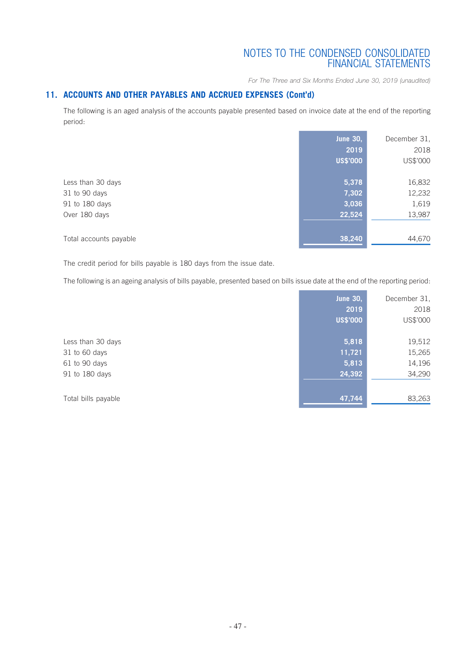*For The Three and Six Months Ended June 30, 2019 (unaudited)*

### **11. ACCOUNTS AND OTHER PAYABLES AND ACCRUED EXPENSES (Cont'd)**

The following is an aged analysis of the accounts payable presented based on invoice date at the end of the reporting period:

|                                                                       | <b>June 30,</b><br>2019<br><b>US\$'000</b> | December 31,<br>2018<br>US\$'000    |
|-----------------------------------------------------------------------|--------------------------------------------|-------------------------------------|
| Less than 30 days<br>31 to 90 days<br>91 to 180 days<br>Over 180 days | 5,378<br>7,302<br>3,036<br>22,524          | 16,832<br>12,232<br>1,619<br>13,987 |
| Total accounts payable                                                | 38,240                                     | 44,670                              |

The credit period for bills payable is 180 days from the issue date.

The following is an ageing analysis of bills payable, presented based on bills issue date at the end of the reporting period:

**Contract Contract** 

×.

|                     | <b>June 30,</b> | December 31, |
|---------------------|-----------------|--------------|
|                     | 2019            | 2018         |
|                     | <b>US\$'000</b> | US\$'000     |
|                     |                 |              |
| Less than 30 days   | 5,818           | 19,512       |
| 31 to 60 days       | 11,721          | 15,265       |
| 61 to 90 days       | 5,813           | 14,196       |
| 91 to 180 days      | 24,392          | 34,290       |
|                     |                 |              |
| Total bills payable | 47,744          | 83,263       |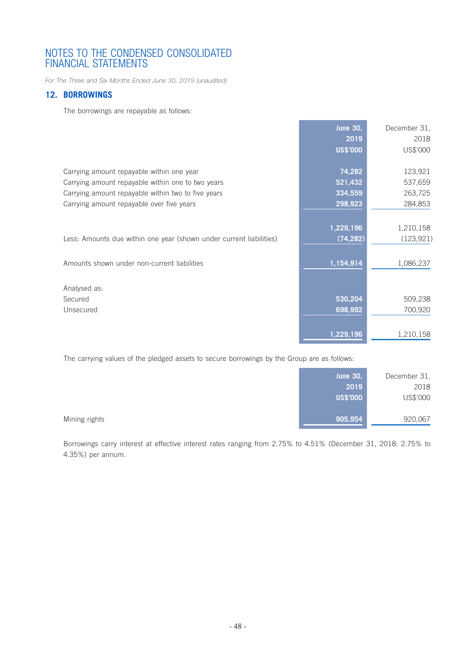*For The Three and Six Months Ended June 30, 2019 (unaudited)*

### **12. BORROWINGS**

The borrowings are repayable as follows:

|                                                                     | <b>June 30,</b> | December 31. |
|---------------------------------------------------------------------|-----------------|--------------|
|                                                                     | 2019            | 2018         |
|                                                                     | <b>US\$'000</b> | US\$'000     |
|                                                                     |                 |              |
| Carrying amount repayable within one year                           | 74,282          | 123,921      |
| Carrying amount repayable within one to two years                   | 521,432         | 537,659      |
| Carrying amount repayable within two to five years                  | 334,559         | 263,725      |
| Carrying amount repayable over five years                           | 298,923         | 284,853      |
|                                                                     |                 |              |
|                                                                     | 1,229,196       | 1,210,158    |
| Less: Amounts due within one year (shown under current liabilities) | (74, 282)       | (123, 921)   |
|                                                                     |                 |              |
| Amounts shown under non-current liabilities                         | 1,154,914       | 1,086,237    |
|                                                                     |                 |              |
| Analysed as:                                                        |                 |              |
| Secured                                                             | 530,204         | 509,238      |
| Unsecured                                                           | 698,992         | 700,920      |
|                                                                     |                 |              |
|                                                                     | 1,229,196       | 1,210,158    |

The carrying values of the pledged assets to secure borrowings by the Group are as follows:

|               | June $30,$      | December 31, |
|---------------|-----------------|--------------|
|               | 2019            | 2018         |
|               | <b>US\$'000</b> | US\$'000     |
|               |                 |              |
| Mining rights | 905,954         | 920,067      |

Borrowings carry interest at effective interest rates ranging from 2.75% to 4.51% (December 31, 2018: 2.75% to 4.35%) per annum.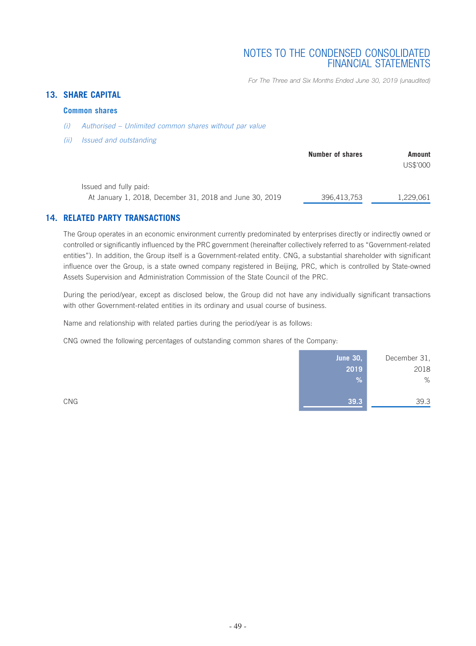*For The Three and Six Months Ended June 30, 2019 (unaudited)*

### **13. SHARE CAPITAL**

### **Common shares**

- *(i) Authorised Unlimited common shares without par value*
- *(ii) Issued and outstanding*

|                                                                                   | Number of shares | Amount<br>US\$'000 |
|-----------------------------------------------------------------------------------|------------------|--------------------|
| Issued and fully paid:<br>At January 1, 2018, December 31, 2018 and June 30, 2019 | 396,413,753      | 1.229.061          |

### **14. RELATED PARTY TRANSACTIONS**

The Group operates in an economic environment currently predominated by enterprises directly or indirectly owned or controlled or significantly influenced by the PRC government (hereinafter collectively referred to as "Government-related entities"). In addition, the Group itself is a Government-related entity. CNG, a substantial shareholder with significant influence over the Group, is a state owned company registered in Beijing, PRC, which is controlled by State-owned Assets Supervision and Administration Commission of the State Council of the PRC.

During the period/year, except as disclosed below, the Group did not have any individually significant transactions with other Government-related entities in its ordinary and usual course of business.

Name and relationship with related parties during the period/year is as follows:

CNG owned the following percentages of outstanding common shares of the Company:

|     | <b>June 30,</b> | December 31, |
|-----|-----------------|--------------|
|     | 2019            | 2018         |
|     | %               | %            |
|     |                 |              |
| CNG | 39.3            | 39.3         |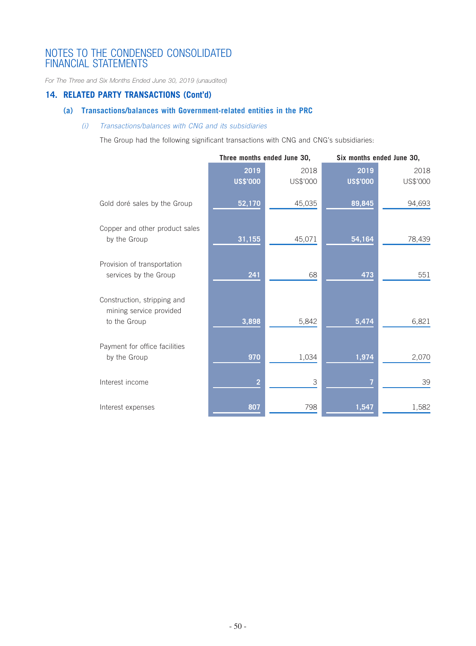*For The Three and Six Months Ended June 30, 2019 (unaudited)*

### **14. RELATED PARTY TRANSACTIONS (Cont'd)**

### **(a) Transactions/balances with Government-related entities in the PRC**

### *(i) Transactions/balances with CNG and its subsidiaries*

The Group had the following significant transactions with CNG and CNG's subsidiaries:

|                                                                        |                 | Three months ended June 30, |                 | Six months ended June 30, |
|------------------------------------------------------------------------|-----------------|-----------------------------|-----------------|---------------------------|
|                                                                        | 2019            | 2018                        | 2019            | 2018                      |
|                                                                        | <b>US\$'000</b> | US\$'000                    | <b>US\$'000</b> | US\$'000                  |
| Gold doré sales by the Group                                           | 52,170          | 45,035                      | 89,845          | 94,693                    |
| Copper and other product sales<br>by the Group                         | 31,155          | 45,071                      | 54,164          | 78,439                    |
| Provision of transportation<br>services by the Group                   | 241             | 68                          | 473             | 551                       |
| Construction, stripping and<br>mining service provided<br>to the Group | 3,898           | 5,842                       | 5,474           | 6,821                     |
| Payment for office facilities<br>by the Group                          | 970             | 1,034                       | 1,974           | 2,070                     |
| Interest income                                                        | $\overline{2}$  | 3                           |                 | 39                        |
| Interest expenses                                                      | 807             | 798                         | 1,547           | 1,582                     |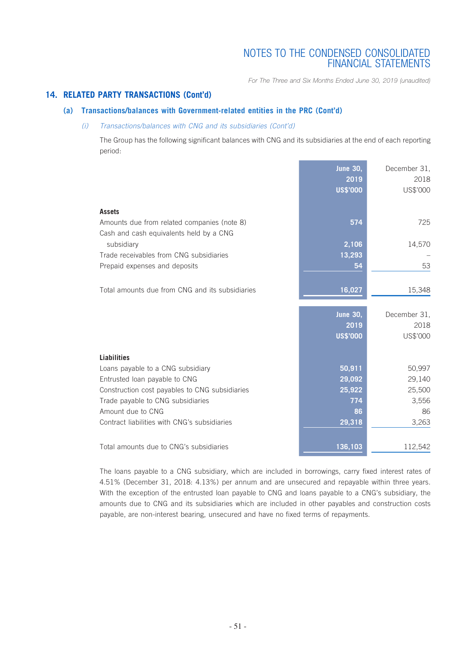*For The Three and Six Months Ended June 30, 2019 (unaudited)*

### **14. RELATED PARTY TRANSACTIONS (Cont'd)**

### **(a) Transactions/balances with Government-related entities in the PRC (Cont'd)**

### *(i) Transactions/balances with CNG and its subsidiaries (Cont'd)*

The Group has the following significant balances with CNG and its subsidiaries at the end of each reporting period:

|                                                                                        | <b>June 30,</b><br>2019<br><b>US\$'000</b> | December 31,<br>2018<br>US\$'000 |
|----------------------------------------------------------------------------------------|--------------------------------------------|----------------------------------|
| <b>Assets</b>                                                                          |                                            |                                  |
| Amounts due from related companies (note 8)<br>Cash and cash equivalents held by a CNG | 574                                        | 725                              |
| subsidiary                                                                             | 2,106                                      | 14,570                           |
| Trade receivables from CNG subsidiaries                                                | 13,293                                     |                                  |
| Prepaid expenses and deposits                                                          | 54                                         | 53                               |
|                                                                                        |                                            |                                  |
| Total amounts due from CNG and its subsidiaries                                        | 16,027                                     | 15,348                           |
|                                                                                        | <b>June 30,</b>                            | December 31,                     |
|                                                                                        | 2019                                       | 2018                             |
|                                                                                        | <b>US\$'000</b>                            | US\$'000                         |
| <b>Liabilities</b>                                                                     |                                            |                                  |
| Loans payable to a CNG subsidiary                                                      | 50,911                                     | 50,997                           |
| Entrusted loan payable to CNG                                                          | 29,092                                     | 29,140                           |
| Construction cost payables to CNG subsidiaries                                         | 25,922                                     | 25,500                           |
| Trade payable to CNG subsidiaries                                                      | 774                                        | 3,556                            |
| Amount due to CNG                                                                      | 86                                         | 86                               |
| Contract liabilities with CNG's subsidiaries                                           | 29,318                                     | 3,263                            |
| Total amounts due to CNG's subsidiaries                                                | 136,103                                    | 112,542                          |

The loans payable to a CNG subsidiary, which are included in borrowings, carry fixed interest rates of 4.51% (December 31, 2018: 4.13%) per annum and are unsecured and repayable within three years. With the exception of the entrusted loan payable to CNG and loans payable to a CNG's subsidiary, the amounts due to CNG and its subsidiaries which are included in other payables and construction costs payable, are non-interest bearing, unsecured and have no fixed terms of repayments.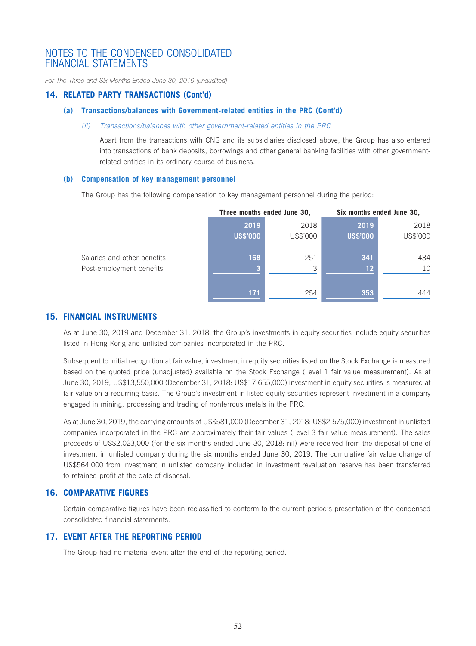*For The Three and Six Months Ended June 30, 2019 (unaudited)*

### **14. RELATED PARTY TRANSACTIONS (Cont'd)**

### **(a) Transactions/balances with Government-related entities in the PRC (Cont'd)**

#### *(ii) Transactions/balances with other government-related entities in the PRC*

Apart from the transactions with CNG and its subsidiaries disclosed above, the Group has also entered into transactions of bank deposits, borrowings and other general banking facilities with other governmentrelated entities in its ordinary course of business.

#### **(b) Compensation of key management personnel**

The Group has the following compensation to key management personnel during the period:

|                             | Three months ended June 30, |          | Six months ended June 30, |          |
|-----------------------------|-----------------------------|----------|---------------------------|----------|
|                             | 2019                        | 2018     | 2019                      | 2018     |
|                             | <b>US\$'000</b>             | US\$'000 | <b>US\$'000</b>           | US\$'000 |
| Salaries and other benefits | 168                         | 251      | 341                       | 434      |
| Post-employment benefits    |                             | 3        | 12                        | 10       |
|                             | 171                         | 254      | 353                       | 444      |

### **15. FINANCIAL INSTRUMENTS**

As at June 30, 2019 and December 31, 2018, the Group's investments in equity securities include equity securities listed in Hong Kong and unlisted companies incorporated in the PRC.

Subsequent to initial recognition at fair value, investment in equity securities listed on the Stock Exchange is measured based on the quoted price (unadjusted) available on the Stock Exchange (Level 1 fair value measurement). As at June 30, 2019, US\$13,550,000 (December 31, 2018: US\$17,655,000) investment in equity securities is measured at fair value on a recurring basis. The Group's investment in listed equity securities represent investment in a company engaged in mining, processing and trading of nonferrous metals in the PRC.

As at June 30, 2019, the carrying amounts of US\$581,000 (December 31, 2018: US\$2,575,000) investment in unlisted companies incorporated in the PRC are approximately their fair values (Level 3 fair value measurement). The sales proceeds of US\$2,023,000 (for the six months ended June 30, 2018: nil) were received from the disposal of one of investment in unlisted company during the six months ended June 30, 2019. The cumulative fair value change of US\$564,000 from investment in unlisted company included in investment revaluation reserve has been transferred to retained profit at the date of disposal.

### **16. COMPARATIVE FIGURES**

Certain comparative figures have been reclassified to conform to the current period's presentation of the condensed consolidated financial statements.

### **17. EVENT AFTER THE REPORTING PERIOD**

The Group had no material event after the end of the reporting period.